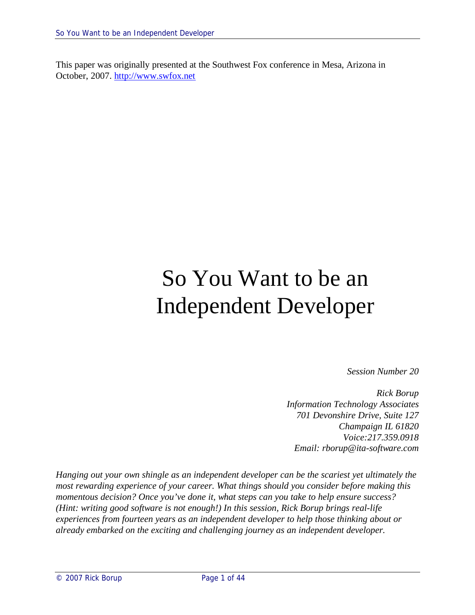This paper was originally presented at the Southwest Fox conference in Mesa, Arizona in October, 2007. http://www.swfox.net

# So You Want to be an Independent Developer

*Session Number 20*

*Rick Borup Information Technology Associates 701 Devonshire Drive, Suite 127 Champaign IL 61820 Voice:217.359.0918 Email: rborup@ita-software.com*

*Hanging out your own shingle as an independent developer can be the scariest yet ultimately the most rewarding experience of your career. What things should you consider before making this momentous decision? Once you've done it, what steps can you take to help ensure success? (Hint: writing good software is not enough!) In this session, Rick Borup brings real-life experiences from fourteen years as an independent developer to help those thinking about or already embarked on the exciting and challenging journey as an independent developer.*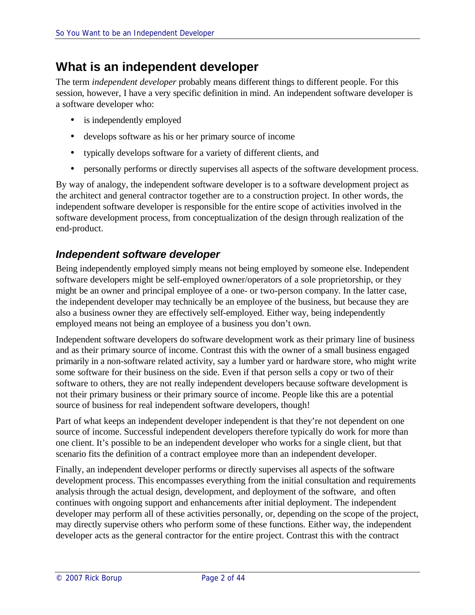# **What is an independent developer**

The term *independent developer* probably means different things to different people. For this session, however, I have a very specific definition in mind. An independent software developer is a software developer who:

- is independently employed
- develops software as his or her primary source of income
- typically develops software for a variety of different clients, and
- personally performs or directly supervises all aspects of the software development process.

By way of analogy, the independent software developer is to a software development project as the architect and general contractor together are to a construction project. In other words, the independent software developer is responsible for the entire scope of activities involved in the software development process, from conceptualization of the design through realization of the end-product.

### *Independent software developer*

Being independently employed simply means not being employed by someone else. Independent software developers might be self-employed owner/operators of a sole proprietorship, or they might be an owner and principal employee of a one- or two-person company. In the latter case, the independent developer may technically be an employee of the business, but because they are also a business owner they are effectively self-employed. Either way, being independently employed means not being an employee of a business you don't own.

Independent software developers do software development work as their primary line of business and as their primary source of income. Contrast this with the owner of a small business engaged primarily in a non-software related activity, say a lumber yard or hardware store, who might write some software for their business on the side. Even if that person sells a copy or two of their software to others, they are not really independent developers because software development is not their primary business or their primary source of income. People like this are a potential source of business for real independent software developers, though!

Part of what keeps an independent developer independent is that they're not dependent on one source of income. Successful independent developers therefore typically do work for more than one client. It's possible to be an independent developer who works for a single client, but that scenario fits the definition of a contract employee more than an independent developer.

Finally, an independent developer performs or directly supervises all aspects of the software development process. This encompasses everything from the initial consultation and requirements analysis through the actual design, development, and deployment of the software, and often continues with ongoing support and enhancements after initial deployment. The independent developer may perform all of these activities personally, or, depending on the scope of the project, may directly supervise others who perform some of these functions. Either way, the independent developer acts as the general contractor for the entire project. Contrast this with the contract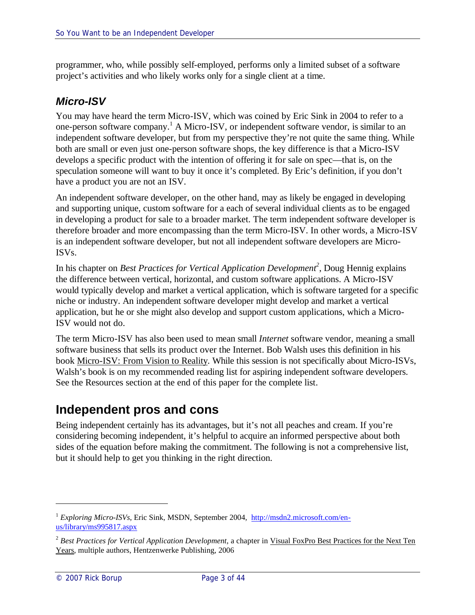programmer, who, while possibly self-employed, performs only a limited subset of a software project's activities and who likely works only for a single client at a time.

### *Micro-ISV*

You may have heard the term Micro-ISV, which was coined by Eric Sink in 2004 to refer to a one-person software company.<sup>1</sup> A Micro-ISV, or independent software vendor, is similar to an independent software developer, but from my perspective they're not quite the same thing. While both are small or even just one-person software shops, the key difference is that a Micro-ISV develops a specific product with the intention of offering it for sale on spec—that is, on the speculation someone will want to buy it once it's completed. By Eric's definition, if you don't have a product you are not an ISV.

An independent software developer, on the other hand, may as likely be engaged in developing and supporting unique, custom software for a each of several individual clients as to be engaged in developing a product for sale to a broader market. The term independent software developer is therefore broader and more encompassing than the term Micro-ISV. In other words, a Micro-ISV is an independent software developer, but not all independent software developers are Micro-ISVs.

In his chapter on *Best Practices for Vertical Application Development<sup>2</sup>* , Doug Hennig explains the difference between vertical, horizontal, and custom software applications. A Micro-ISV would typically develop and market a vertical application, which is software targeted for a specific niche or industry. An independent software developer might develop and market a vertical application, but he or she might also develop and support custom applications, which a Micro-ISV would not do.

The term Micro-ISV has also been used to mean small *Internet* software vendor, meaning a small software business that sells its product over the Internet. Bob Walsh uses this definition in his book Micro-ISV: From Vision to Reality. While this session is not specifically about Micro-ISVs, Walsh's book is on my recommended reading list for aspiring independent software developers. See the Resources section at the end of this paper for the complete list.

# **Independent pros and cons**

Being independent certainly has its advantages, but it's not all peaches and cream. If you're considering becoming independent, it's helpful to acquire an informed perspective about both sides of the equation before making the commitment. The following is not a comprehensive list, but it should help to get you thinking in the right direction.

<sup>&</sup>lt;sup>1</sup> *Exploring Micro-ISVs*, Eric Sink, MSDN, September 2004, http://msdn2.microsoft.com/enus/library/ms995817.aspx

<sup>&</sup>lt;sup>2</sup> Best Practices for Vertical Application Development, a chapter in Visual FoxPro Best Practices for the Next Ten Years, multiple authors, Hentzenwerke Publishing, 2006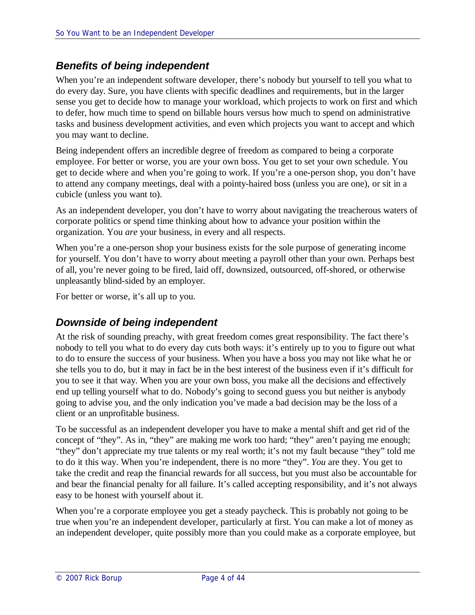### *Benefits of being independent*

When you're an independent software developer, there's nobody but yourself to tell you what to do every day. Sure, you have clients with specific deadlines and requirements, but in the larger sense you get to decide how to manage your workload, which projects to work on first and which to defer, how much time to spend on billable hours versus how much to spend on administrative tasks and business development activities, and even which projects you want to accept and which you may want to decline.

Being independent offers an incredible degree of freedom as compared to being a corporate employee. For better or worse, you are your own boss. You get to set your own schedule. You get to decide where and when you're going to work. If you're a one-person shop, you don't have to attend any company meetings, deal with a pointy-haired boss (unless you are one), or sit in a cubicle (unless you want to).

As an independent developer, you don't have to worry about navigating the treacherous waters of corporate politics or spend time thinking about how to advance your position within the organization. You *are* your business, in every and all respects.

When you're a one-person shop your business exists for the sole purpose of generating income for yourself. You don't have to worry about meeting a payroll other than your own. Perhaps best of all, you're never going to be fired, laid off, downsized, outsourced, off-shored, or otherwise unpleasantly blind-sided by an employer.

For better or worse, it's all up to you.

#### *Downside of being independent*

At the risk of sounding preachy, with great freedom comes great responsibility. The fact there's nobody to tell you what to do every day cuts both ways: it's entirely up to you to figure out what to do to ensure the success of your business. When you have a boss you may not like what he or she tells you to do, but it may in fact be in the best interest of the business even if it's difficult for you to see it that way. When you are your own boss, you make all the decisions and effectively end up telling yourself what to do. Nobody's going to second guess you but neither is anybody going to advise you, and the only indication you've made a bad decision may be the loss of a client or an unprofitable business.

To be successful as an independent developer you have to make a mental shift and get rid of the concept of "they". As in, "they" are making me work too hard; "they" aren't paying me enough; "they" don't appreciate my true talents or my real worth; it's not my fault because "they" told me to do it this way. When you're independent, there is no more "they". *You* are they. You get to take the credit and reap the financial rewards for all success, but you must also be accountable for and bear the financial penalty for all failure. It's called accepting responsibility, and it's not always easy to be honest with yourself about it.

When you're a corporate employee you get a steady paycheck. This is probably not going to be true when you're an independent developer, particularly at first. You can make a lot of money as an independent developer, quite possibly more than you could make as a corporate employee, but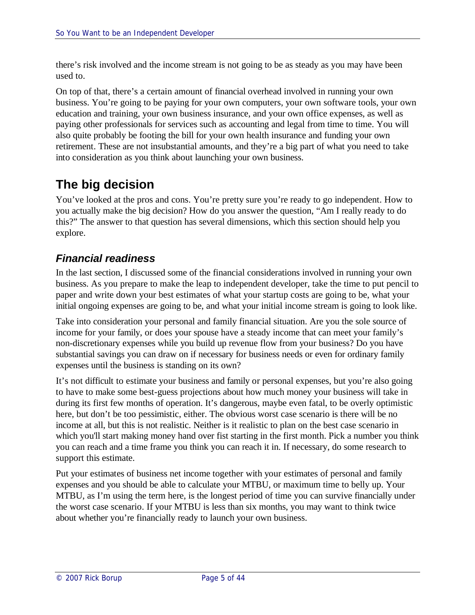there's risk involved and the income stream is not going to be as steady as you may have been used to.

On top of that, there's a certain amount of financial overhead involved in running your own business. You're going to be paying for your own computers, your own software tools, your own education and training, your own business insurance, and your own office expenses, as well as paying other professionals for services such as accounting and legal from time to time. You will also quite probably be footing the bill for your own health insurance and funding your own retirement. These are not insubstantial amounts, and they're a big part of what you need to take into consideration as you think about launching your own business.

# **The big decision**

You've looked at the pros and cons. You're pretty sure you're ready to go independent. How to you actually make the big decision? How do you answer the question, "Am I really ready to do this?" The answer to that question has several dimensions, which this section should help you explore.

# *Financial readiness*

In the last section, I discussed some of the financial considerations involved in running your own business. As you prepare to make the leap to independent developer, take the time to put pencil to paper and write down your best estimates of what your startup costs are going to be, what your initial ongoing expenses are going to be, and what your initial income stream is going to look like.

Take into consideration your personal and family financial situation. Are you the sole source of income for your family, or does your spouse have a steady income that can meet your family's non-discretionary expenses while you build up revenue flow from your business? Do you have substantial savings you can draw on if necessary for business needs or even for ordinary family expenses until the business is standing on its own?

It's not difficult to estimate your business and family or personal expenses, but you're also going to have to make some best-guess projections about how much money your business will take in during its first few months of operation. It's dangerous, maybe even fatal, to be overly optimistic here, but don't be too pessimistic, either. The obvious worst case scenario is there will be no income at all, but this is not realistic. Neither is it realistic to plan on the best case scenario in which you'll start making money hand over fist starting in the first month. Pick a number you think you can reach and a time frame you think you can reach it in. If necessary, do some research to support this estimate.

Put your estimates of business net income together with your estimates of personal and family expenses and you should be able to calculate your MTBU, or maximum time to belly up. Your MTBU, as I'm using the term here, is the longest period of time you can survive financially under the worst case scenario. If your MTBU is less than six months, you may want to think twice about whether you're financially ready to launch your own business.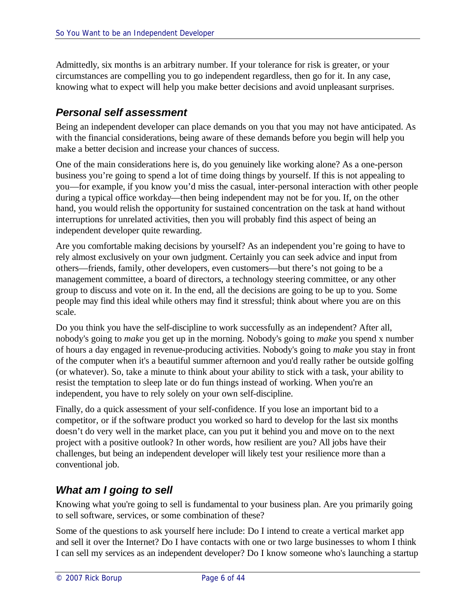Admittedly, six months is an arbitrary number. If your tolerance for risk is greater, or your circumstances are compelling you to go independent regardless, then go for it. In any case, knowing what to expect will help you make better decisions and avoid unpleasant surprises.

### *Personal self assessment*

Being an independent developer can place demands on you that you may not have anticipated. As with the financial considerations, being aware of these demands before you begin will help you make a better decision and increase your chances of success.

One of the main considerations here is, do you genuinely like working alone? As a one-person business you're going to spend a lot of time doing things by yourself. If this is not appealing to you—for example, if you know you'd miss the casual, inter-personal interaction with other people during a typical office workday—then being independent may not be for you. If, on the other hand, you would relish the opportunity for sustained concentration on the task at hand without interruptions for unrelated activities, then you will probably find this aspect of being an independent developer quite rewarding.

Are you comfortable making decisions by yourself? As an independent you're going to have to rely almost exclusively on your own judgment. Certainly you can seek advice and input from others—friends, family, other developers, even customers—but there's not going to be a management committee, a board of directors, a technology steering committee, or any other group to discuss and vote on it. In the end, all the decisions are going to be up to you. Some people may find this ideal while others may find it stressful; think about where you are on this scale.

Do you think you have the self-discipline to work successfully as an independent? After all, nobody's going to *make* you get up in the morning. Nobody's going to *make* you spend x number of hours a day engaged in revenue-producing activities. Nobody's going to *make* you stay in front of the computer when it's a beautiful summer afternoon and you'd really rather be outside golfing (or whatever). So, take a minute to think about your ability to stick with a task, your ability to resist the temptation to sleep late or do fun things instead of working. When you're an independent, you have to rely solely on your own self-discipline.

Finally, do a quick assessment of your self-confidence. If you lose an important bid to a competitor, or if the software product you worked so hard to develop for the last six months doesn't do very well in the market place, can you put it behind you and move on to the next project with a positive outlook? In other words, how resilient are you? All jobs have their challenges, but being an independent developer will likely test your resilience more than a conventional job.

# *What am I going to sell*

Knowing what you're going to sell is fundamental to your business plan. Are you primarily going to sell software, services, or some combination of these?

Some of the questions to ask yourself here include: Do I intend to create a vertical market app and sell it over the Internet? Do I have contacts with one or two large businesses to whom I think I can sell my services as an independent developer? Do I know someone who's launching a startup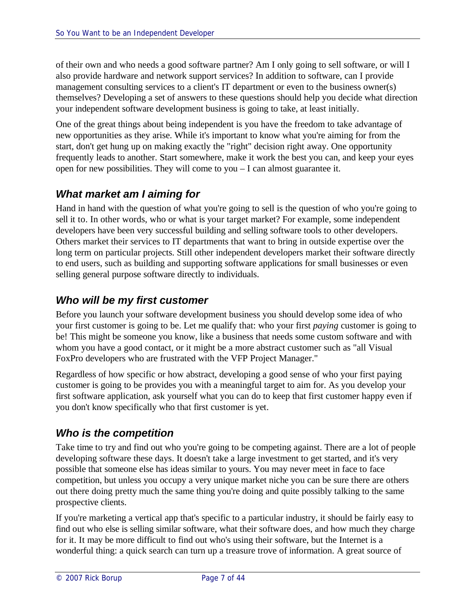of their own and who needs a good software partner? Am I only going to sell software, or will I also provide hardware and network support services? In addition to software, can I provide management consulting services to a client's IT department or even to the business owner(s) themselves? Developing a set of answers to these questions should help you decide what direction your independent software development business is going to take, at least initially.

One of the great things about being independent is you have the freedom to take advantage of new opportunities as they arise. While it's important to know what you're aiming for from the start, don't get hung up on making exactly the "right" decision right away. One opportunity frequently leads to another. Start somewhere, make it work the best you can, and keep your eyes open for new possibilities. They will come to you – I can almost guarantee it.

# *What market am I aiming for*

Hand in hand with the question of what you're going to sell is the question of who you're going to sell it to. In other words, who or what is your target market? For example, some independent developers have been very successful building and selling software tools to other developers. Others market their services to IT departments that want to bring in outside expertise over the long term on particular projects. Still other independent developers market their software directly to end users, such as building and supporting software applications for small businesses or even selling general purpose software directly to individuals.

### *Who will be my first customer*

Before you launch your software development business you should develop some idea of who your first customer is going to be. Let me qualify that: who your first *paying* customer is going to be! This might be someone you know, like a business that needs some custom software and with whom you have a good contact, or it might be a more abstract customer such as "all Visual FoxPro developers who are frustrated with the VFP Project Manager."

Regardless of how specific or how abstract, developing a good sense of who your first paying customer is going to be provides you with a meaningful target to aim for. As you develop your first software application, ask yourself what you can do to keep that first customer happy even if you don't know specifically who that first customer is yet.

# *Who is the competition*

Take time to try and find out who you're going to be competing against. There are a lot of people developing software these days. It doesn't take a large investment to get started, and it's very possible that someone else has ideas similar to yours. You may never meet in face to face competition, but unless you occupy a very unique market niche you can be sure there are others out there doing pretty much the same thing you're doing and quite possibly talking to the same prospective clients.

If you're marketing a vertical app that's specific to a particular industry, it should be fairly easy to find out who else is selling similar software, what their software does, and how much they charge for it. It may be more difficult to find out who's using their software, but the Internet is a wonderful thing: a quick search can turn up a treasure trove of information. A great source of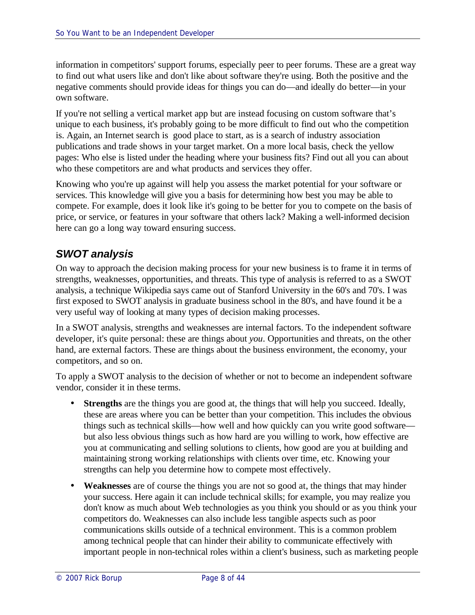information in competitors' support forums, especially peer to peer forums. These are a great way to find out what users like and don't like about software they're using. Both the positive and the negative comments should provide ideas for things you can do—and ideally do better—in your own software.

If you're not selling a vertical market app but are instead focusing on custom software that's unique to each business, it's probably going to be more difficult to find out who the competition is. Again, an Internet search is good place to start, as is a search of industry association publications and trade shows in your target market. On a more local basis, check the yellow pages: Who else is listed under the heading where your business fits? Find out all you can about who these competitors are and what products and services they offer.

Knowing who you're up against will help you assess the market potential for your software or services. This knowledge will give you a basis for determining how best you may be able to compete. For example, does it look like it's going to be better for you to compete on the basis of price, or service, or features in your software that others lack? Making a well-informed decision here can go a long way toward ensuring success.

# *SWOT analysis*

On way to approach the decision making process for your new business is to frame it in terms of strengths, weaknesses, opportunities, and threats. This type of analysis is referred to as a SWOT analysis, a technique Wikipedia says came out of Stanford University in the 60's and 70's. I was first exposed to SWOT analysis in graduate business school in the 80's, and have found it be a very useful way of looking at many types of decision making processes.

In a SWOT analysis, strengths and weaknesses are internal factors. To the independent software developer, it's quite personal: these are things about *you*. Opportunities and threats, on the other hand, are external factors. These are things about the business environment, the economy, your competitors, and so on.

To apply a SWOT analysis to the decision of whether or not to become an independent software vendor, consider it in these terms.

- **Strengths** are the things you are good at, the things that will help you succeed. Ideally, these are areas where you can be better than your competition. This includes the obvious things such as technical skills—how well and how quickly can you write good software but also less obvious things such as how hard are you willing to work, how effective are you at communicating and selling solutions to clients, how good are you at building and maintaining strong working relationships with clients over time, etc. Knowing your strengths can help you determine how to compete most effectively.
- **Weaknesses** are of course the things you are not so good at, the things that may hinder your success. Here again it can include technical skills; for example, you may realize you don't know as much about Web technologies as you think you should or as you think your competitors do. Weaknesses can also include less tangible aspects such as poor communications skills outside of a technical environment. This is a common problem among technical people that can hinder their ability to communicate effectively with important people in non-technical roles within a client's business, such as marketing people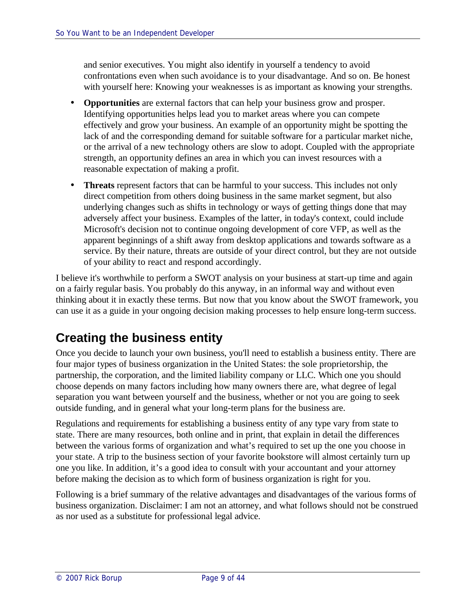and senior executives. You might also identify in yourself a tendency to avoid confrontations even when such avoidance is to your disadvantage. And so on. Be honest with yourself here: Knowing your weaknesses is as important as knowing your strengths.

- **Opportunities** are external factors that can help your business grow and prosper. Identifying opportunities helps lead you to market areas where you can compete effectively and grow your business. An example of an opportunity might be spotting the lack of and the corresponding demand for suitable software for a particular market niche, or the arrival of a new technology others are slow to adopt. Coupled with the appropriate strength, an opportunity defines an area in which you can invest resources with a reasonable expectation of making a profit.
- **Threats** represent factors that can be harmful to your success. This includes not only direct competition from others doing business in the same market segment, but also underlying changes such as shifts in technology or ways of getting things done that may adversely affect your business. Examples of the latter, in today's context, could include Microsoft's decision not to continue ongoing development of core VFP, as well as the apparent beginnings of a shift away from desktop applications and towards software as a service. By their nature, threats are outside of your direct control, but they are not outside of your ability to react and respond accordingly.

I believe it's worthwhile to perform a SWOT analysis on your business at start-up time and again on a fairly regular basis. You probably do this anyway, in an informal way and without even thinking about it in exactly these terms. But now that you know about the SWOT framework, you can use it as a guide in your ongoing decision making processes to help ensure long-term success.

# **Creating the business entity**

Once you decide to launch your own business, you'll need to establish a business entity. There are four major types of business organization in the United States: the sole proprietorship, the partnership, the corporation, and the limited liability company or LLC. Which one you should choose depends on many factors including how many owners there are, what degree of legal separation you want between yourself and the business, whether or not you are going to seek outside funding, and in general what your long-term plans for the business are.

Regulations and requirements for establishing a business entity of any type vary from state to state. There are many resources, both online and in print, that explain in detail the differences between the various forms of organization and what's required to set up the one you choose in your state. A trip to the business section of your favorite bookstore will almost certainly turn up one you like. In addition, it's a good idea to consult with your accountant and your attorney before making the decision as to which form of business organization is right for you.

Following is a brief summary of the relative advantages and disadvantages of the various forms of business organization. Disclaimer: I am not an attorney, and what follows should not be construed as nor used as a substitute for professional legal advice.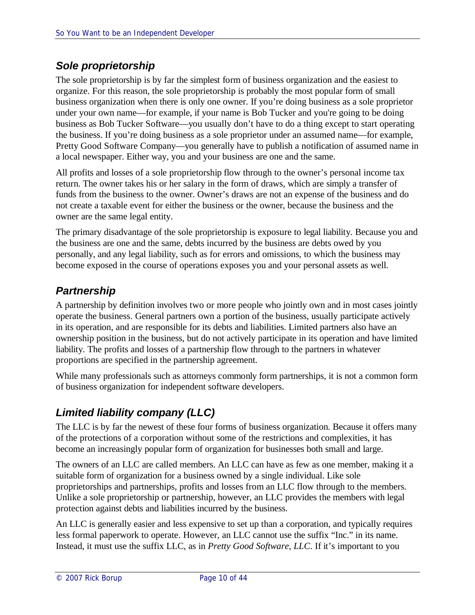# *Sole proprietorship*

The sole proprietorship is by far the simplest form of business organization and the easiest to organize. For this reason, the sole proprietorship is probably the most popular form of small business organization when there is only one owner. If you're doing business as a sole proprietor under your own name—for example, if your name is Bob Tucker and you're going to be doing business as Bob Tucker Software—you usually don't have to do a thing except to start operating the business. If you're doing business as a sole proprietor under an assumed name—for example, Pretty Good Software Company—you generally have to publish a notification of assumed name in a local newspaper. Either way, you and your business are one and the same.

All profits and losses of a sole proprietorship flow through to the owner's personal income tax return. The owner takes his or her salary in the form of draws, which are simply a transfer of funds from the business to the owner. Owner's draws are not an expense of the business and do not create a taxable event for either the business or the owner, because the business and the owner are the same legal entity.

The primary disadvantage of the sole proprietorship is exposure to legal liability. Because you and the business are one and the same, debts incurred by the business are debts owed by you personally, and any legal liability, such as for errors and omissions, to which the business may become exposed in the course of operations exposes you and your personal assets as well.

# *Partnership*

A partnership by definition involves two or more people who jointly own and in most cases jointly operate the business. General partners own a portion of the business, usually participate actively in its operation, and are responsible for its debts and liabilities. Limited partners also have an ownership position in the business, but do not actively participate in its operation and have limited liability. The profits and losses of a partnership flow through to the partners in whatever proportions are specified in the partnership agreement.

While many professionals such as attorneys commonly form partnerships, it is not a common form of business organization for independent software developers.

# *Limited liability company (LLC)*

The LLC is by far the newest of these four forms of business organization. Because it offers many of the protections of a corporation without some of the restrictions and complexities, it has become an increasingly popular form of organization for businesses both small and large.

The owners of an LLC are called members. An LLC can have as few as one member, making it a suitable form of organization for a business owned by a single individual. Like sole proprietorships and partnerships, profits and losses from an LLC flow through to the members. Unlike a sole proprietorship or partnership, however, an LLC provides the members with legal protection against debts and liabilities incurred by the business.

An LLC is generally easier and less expensive to set up than a corporation, and typically requires less formal paperwork to operate. However, an LLC cannot use the suffix "Inc." in its name. Instead, it must use the suffix LLC, as in *Pretty Good Software, LLC*. If it's important to you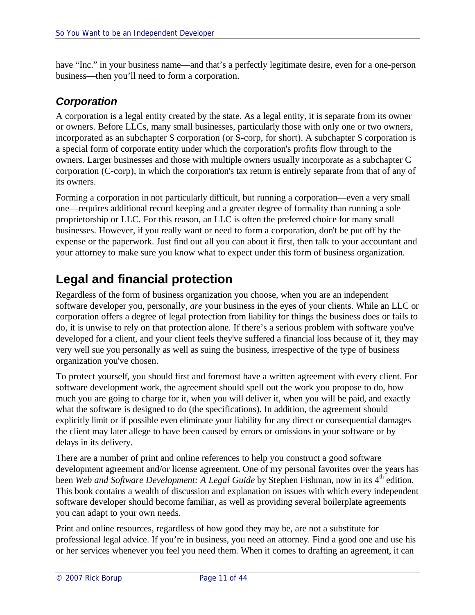have "Inc." in your business name—and that's a perfectly legitimate desire, even for a one-person business—then you'll need to form a corporation.

### *Corporation*

A corporation is a legal entity created by the state. As a legal entity, it is separate from its owner or owners. Before LLCs, many small businesses, particularly those with only one or two owners, incorporated as an subchapter S corporation (or S-corp, for short). A subchapter S corporation is a special form of corporate entity under which the corporation's profits flow through to the owners. Larger businesses and those with multiple owners usually incorporate as a subchapter C corporation (C-corp), in which the corporation's tax return is entirely separate from that of any of its owners.

Forming a corporation in not particularly difficult, but running a corporation—even a very small one—requires additional record keeping and a greater degree of formality than running a sole proprietorship or LLC. For this reason, an LLC is often the preferred choice for many small businesses. However, if you really want or need to form a corporation, don't be put off by the expense or the paperwork. Just find out all you can about it first, then talk to your accountant and your attorney to make sure you know what to expect under this form of business organization.

# **Legal and financial protection**

Regardless of the form of business organization you choose, when you are an independent software developer you, personally, *are* your business in the eyes of your clients. While an LLC or corporation offers a degree of legal protection from liability for things the business does or fails to do, it is unwise to rely on that protection alone. If there's a serious problem with software you've developed for a client, and your client feels they've suffered a financial loss because of it, they may very well sue you personally as well as suing the business, irrespective of the type of business organization you've chosen.

To protect yourself, you should first and foremost have a written agreement with every client. For software development work, the agreement should spell out the work you propose to do, how much you are going to charge for it, when you will deliver it, when you will be paid, and exactly what the software is designed to do (the specifications). In addition, the agreement should explicitly limit or if possible even eliminate your liability for any direct or consequential damages the client may later allege to have been caused by errors or omissions in your software or by delays in its delivery.

There are a number of print and online references to help you construct a good software development agreement and/or license agreement. One of my personal favorites over the years has been *Web and Software Development: A Legal Guide* by Stephen Fishman, now in its 4<sup>th</sup> edition. This book contains a wealth of discussion and explanation on issues with which every independent software developer should become familiar, as well as providing several boilerplate agreements you can adapt to your own needs.

Print and online resources, regardless of how good they may be, are not a substitute for professional legal advice. If you're in business, you need an attorney. Find a good one and use his or her services whenever you feel you need them. When it comes to drafting an agreement, it can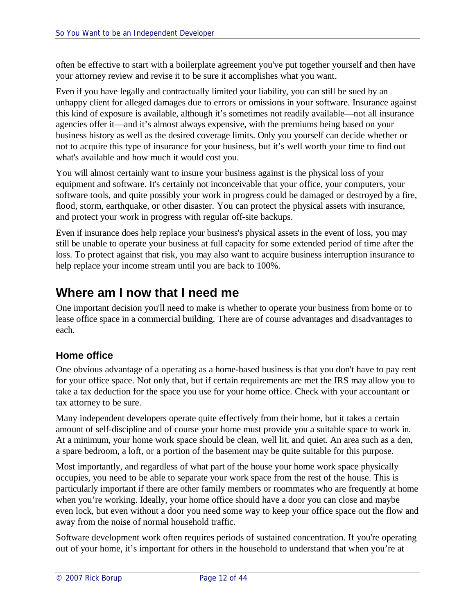often be effective to start with a boilerplate agreement you've put together yourself and then have your attorney review and revise it to be sure it accomplishes what you want.

Even if you have legally and contractually limited your liability, you can still be sued by an unhappy client for alleged damages due to errors or omissions in your software. Insurance against this kind of exposure is available, although it's sometimes not readily available—not all insurance agencies offer it—and it's almost always expensive, with the premiums being based on your business history as well as the desired coverage limits. Only you yourself can decide whether or not to acquire this type of insurance for your business, but it's well worth your time to find out what's available and how much it would cost you.

You will almost certainly want to insure your business against is the physical loss of your equipment and software. It's certainly not inconceivable that your office, your computers, your software tools, and quite possibly your work in progress could be damaged or destroyed by a fire, flood, storm, earthquake, or other disaster. You can protect the physical assets with insurance, and protect your work in progress with regular off-site backups.

Even if insurance does help replace your business's physical assets in the event of loss, you may still be unable to operate your business at full capacity for some extended period of time after the loss. To protect against that risk, you may also want to acquire business interruption insurance to help replace your income stream until you are back to 100%.

# **Where am I now that I need me**

One important decision you'll need to make is whether to operate your business from home or to lease office space in a commercial building. There are of course advantages and disadvantages to each.

### **Home office**

One obvious advantage of a operating as a home-based business is that you don't have to pay rent for your office space. Not only that, but if certain requirements are met the IRS may allow you to take a tax deduction for the space you use for your home office. Check with your accountant or tax attorney to be sure.

Many independent developers operate quite effectively from their home, but it takes a certain amount of self-discipline and of course your home must provide you a suitable space to work in. At a minimum, your home work space should be clean, well lit, and quiet. An area such as a den, a spare bedroom, a loft, or a portion of the basement may be quite suitable for this purpose.

Most importantly, and regardless of what part of the house your home work space physically occupies, you need to be able to separate your work space from the rest of the house. This is particularly important if there are other family members or roommates who are frequently at home when you're working. Ideally, your home office should have a door you can close and maybe even lock, but even without a door you need some way to keep your office space out the flow and away from the noise of normal household traffic.

Software development work often requires periods of sustained concentration. If you're operating out of your home, it's important for others in the household to understand that when you're at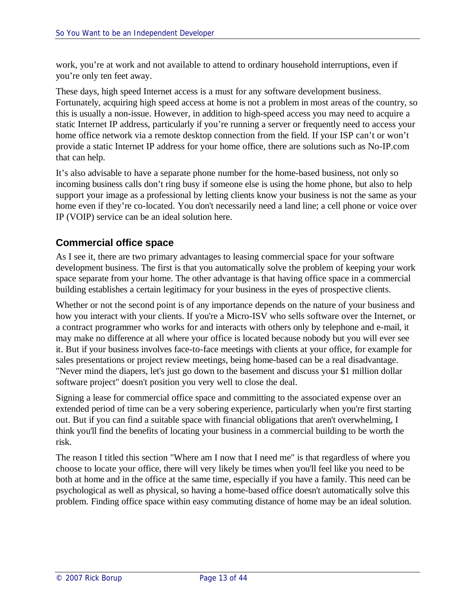work, you're at work and not available to attend to ordinary household interruptions, even if you're only ten feet away.

These days, high speed Internet access is a must for any software development business. Fortunately, acquiring high speed access at home is not a problem in most areas of the country, so this is usually a non-issue. However, in addition to high-speed access you may need to acquire a static Internet IP address, particularly if you're running a server or frequently need to access your home office network via a remote desktop connection from the field. If your ISP can't or won't provide a static Internet IP address for your home office, there are solutions such as No-IP.com that can help.

It's also advisable to have a separate phone number for the home-based business, not only so incoming business calls don't ring busy if someone else is using the home phone, but also to help support your image as a professional by letting clients know your business is not the same as your home even if they're co-located. You don't necessarily need a land line; a cell phone or voice over IP (VOIP) service can be an ideal solution here.

#### **Commercial office space**

As I see it, there are two primary advantages to leasing commercial space for your software development business. The first is that you automatically solve the problem of keeping your work space separate from your home. The other advantage is that having office space in a commercial building establishes a certain legitimacy for your business in the eyes of prospective clients.

Whether or not the second point is of any importance depends on the nature of your business and how you interact with your clients. If you're a Micro-ISV who sells software over the Internet, or a contract programmer who works for and interacts with others only by telephone and e-mail, it may make no difference at all where your office is located because nobody but you will ever see it. But if your business involves face-to-face meetings with clients at your office, for example for sales presentations or project review meetings, being home-based can be a real disadvantage. "Never mind the diapers, let's just go down to the basement and discuss your \$1 million dollar software project" doesn't position you very well to close the deal.

Signing a lease for commercial office space and committing to the associated expense over an extended period of time can be a very sobering experience, particularly when you're first starting out. But if you can find a suitable space with financial obligations that aren't overwhelming, I think you'll find the benefits of locating your business in a commercial building to be worth the risk.

The reason I titled this section "Where am I now that I need me" is that regardless of where you choose to locate your office, there will very likely be times when you'll feel like you need to be both at home and in the office at the same time, especially if you have a family. This need can be psychological as well as physical, so having a home-based office doesn't automatically solve this problem. Finding office space within easy commuting distance of home may be an ideal solution.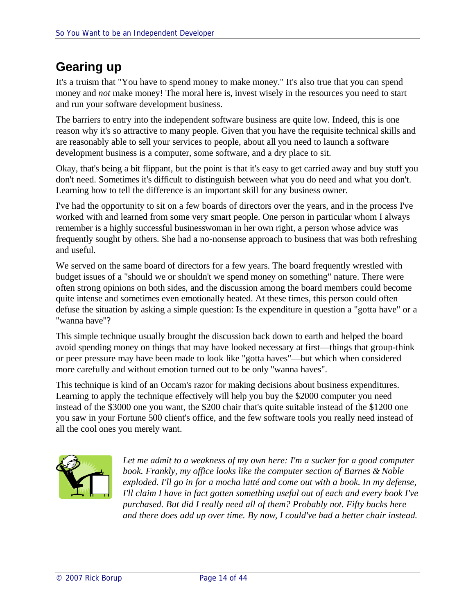# **Gearing up**

It's a truism that "You have to spend money to make money." It's also true that you can spend money and *not* make money! The moral here is, invest wisely in the resources you need to start and run your software development business.

The barriers to entry into the independent software business are quite low. Indeed, this is one reason why it's so attractive to many people. Given that you have the requisite technical skills and are reasonably able to sell your services to people, about all you need to launch a software development business is a computer, some software, and a dry place to sit.

Okay, that's being a bit flippant, but the point is that it's easy to get carried away and buy stuff you don't need. Sometimes it's difficult to distinguish between what you do need and what you don't. Learning how to tell the difference is an important skill for any business owner.

I've had the opportunity to sit on a few boards of directors over the years, and in the process I've worked with and learned from some very smart people. One person in particular whom I always remember is a highly successful businesswoman in her own right, a person whose advice was frequently sought by others. She had a no-nonsense approach to business that was both refreshing and useful.

We served on the same board of directors for a few years. The board frequently wrestled with budget issues of a "should we or shouldn't we spend money on something" nature. There were often strong opinions on both sides, and the discussion among the board members could become quite intense and sometimes even emotionally heated. At these times, this person could often defuse the situation by asking a simple question: Is the expenditure in question a "gotta have" or a "wanna have"?

This simple technique usually brought the discussion back down to earth and helped the board avoid spending money on things that may have looked necessary at first—things that group-think or peer pressure may have been made to look like "gotta haves"—but which when considered more carefully and without emotion turned out to be only "wanna haves".

This technique is kind of an Occam's razor for making decisions about business expenditures. Learning to apply the technique effectively will help you buy the \$2000 computer you need instead of the \$3000 one you want, the \$200 chair that's quite suitable instead of the \$1200 one you saw in your Fortune 500 client's office, and the few software tools you really need instead of all the cool ones you merely want.



*Let me admit to a weakness of my own here: I'm a sucker for a good computer book. Frankly, my office looks like the computer section of Barnes & Noble exploded. I'll go in for a mocha latté and come out with a book. In my defense, I'll claim I have in fact gotten something useful out of each and every book I've purchased. But did I really need all of them? Probably not. Fifty bucks here and there does add up over time. By now, I could've had a better chair instead.*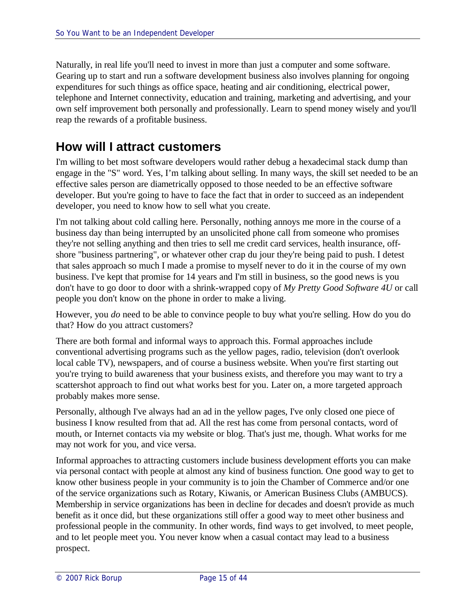Naturally, in real life you'll need to invest in more than just a computer and some software. Gearing up to start and run a software development business also involves planning for ongoing expenditures for such things as office space, heating and air conditioning, electrical power, telephone and Internet connectivity, education and training, marketing and advertising, and your own self improvement both personally and professionally. Learn to spend money wisely and you'll reap the rewards of a profitable business.

# **How will I attract customers**

I'm willing to bet most software developers would rather debug a hexadecimal stack dump than engage in the "S" word. Yes, I'm talking about selling. In many ways, the skill set needed to be an effective sales person are diametrically opposed to those needed to be an effective software developer. But you're going to have to face the fact that in order to succeed as an independent developer, you need to know how to sell what you create.

I'm not talking about cold calling here. Personally, nothing annoys me more in the course of a business day than being interrupted by an unsolicited phone call from someone who promises they're not selling anything and then tries to sell me credit card services, health insurance, offshore "business partnering", or whatever other crap du jour they're being paid to push. I detest that sales approach so much I made a promise to myself never to do it in the course of my own business. I've kept that promise for 14 years and I'm still in business, so the good news is you don't have to go door to door with a shrink-wrapped copy of *My Pretty Good Software 4U* or call people you don't know on the phone in order to make a living.

However, you *do* need to be able to convince people to buy what you're selling. How do you do that? How do you attract customers?

There are both formal and informal ways to approach this. Formal approaches include conventional advertising programs such as the yellow pages, radio, television (don't overlook local cable TV), newspapers, and of course a business website. When you're first starting out you're trying to build awareness that your business exists, and therefore you may want to try a scattershot approach to find out what works best for you. Later on, a more targeted approach probably makes more sense.

Personally, although I've always had an ad in the yellow pages, I've only closed one piece of business I know resulted from that ad. All the rest has come from personal contacts, word of mouth, or Internet contacts via my website or blog. That's just me, though. What works for me may not work for you, and vice versa.

Informal approaches to attracting customers include business development efforts you can make via personal contact with people at almost any kind of business function. One good way to get to know other business people in your community is to join the Chamber of Commerce and/or one of the service organizations such as Rotary, Kiwanis, or American Business Clubs (AMBUCS). Membership in service organizations has been in decline for decades and doesn't provide as much benefit as it once did, but these organizations still offer a good way to meet other business and professional people in the community. In other words, find ways to get involved, to meet people, and to let people meet you. You never know when a casual contact may lead to a business prospect.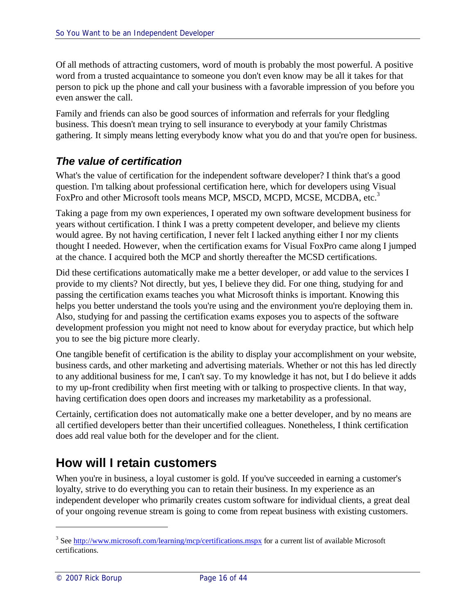Of all methods of attracting customers, word of mouth is probably the most powerful. A positive word from a trusted acquaintance to someone you don't even know may be all it takes for that person to pick up the phone and call your business with a favorable impression of you before you even answer the call.

Family and friends can also be good sources of information and referrals for your fledgling business. This doesn't mean trying to sell insurance to everybody at your family Christmas gathering. It simply means letting everybody know what you do and that you're open for business.

# *The value of certification*

What's the value of certification for the independent software developer? I think that's a good question. I'm talking about professional certification here, which for developers using Visual FoxPro and other Microsoft tools means MCP, MSCD, MCPD, MCSE, MCDBA, etc.<sup>3</sup>

Taking a page from my own experiences, I operated my own software development business for years without certification. I think I was a pretty competent developer, and believe my clients would agree. By not having certification, I never felt I lacked anything either I nor my clients thought I needed. However, when the certification exams for Visual FoxPro came along I jumped at the chance. I acquired both the MCP and shortly thereafter the MCSD certifications.

Did these certifications automatically make me a better developer, or add value to the services I provide to my clients? Not directly, but yes, I believe they did. For one thing, studying for and passing the certification exams teaches you what Microsoft thinks is important. Knowing this helps you better understand the tools you're using and the environment you're deploying them in. Also, studying for and passing the certification exams exposes you to aspects of the software development profession you might not need to know about for everyday practice, but which help you to see the big picture more clearly.

One tangible benefit of certification is the ability to display your accomplishment on your website, business cards, and other marketing and advertising materials. Whether or not this has led directly to any additional business for me, I can't say. To my knowledge it has not, but I do believe it adds to my up-front credibility when first meeting with or talking to prospective clients. In that way, having certification does open doors and increases my marketability as a professional.

Certainly, certification does not automatically make one a better developer, and by no means are all certified developers better than their uncertified colleagues. Nonetheless, I think certification does add real value both for the developer and for the client.

# **How will I retain customers**

When you're in business, a loyal customer is gold. If you've succeeded in earning a customer's loyalty, strive to do everything you can to retain their business. In my experience as an independent developer who primarily creates custom software for individual clients, a great deal of your ongoing revenue stream is going to come from repeat business with existing customers.

<sup>&</sup>lt;sup>3</sup> See http://www.microsoft.com/learning/mcp/certifications.mspx for a current list of available Microsoft certifications.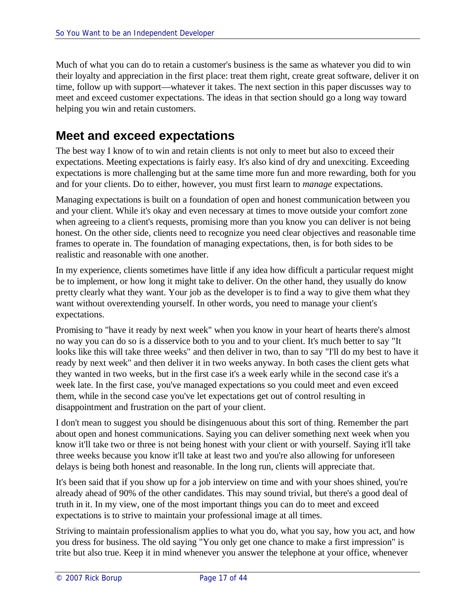Much of what you can do to retain a customer's business is the same as whatever you did to win their loyalty and appreciation in the first place: treat them right, create great software, deliver it on time, follow up with support—whatever it takes. The next section in this paper discusses way to meet and exceed customer expectations. The ideas in that section should go a long way toward helping you win and retain customers.

# **Meet and exceed expectations**

The best way I know of to win and retain clients is not only to meet but also to exceed their expectations. Meeting expectations is fairly easy. It's also kind of dry and unexciting. Exceeding expectations is more challenging but at the same time more fun and more rewarding, both for you and for your clients. Do to either, however, you must first learn to *manage* expectations.

Managing expectations is built on a foundation of open and honest communication between you and your client. While it's okay and even necessary at times to move outside your comfort zone when agreeing to a client's requests, promising more than you know you can deliver is not being honest. On the other side, clients need to recognize you need clear objectives and reasonable time frames to operate in. The foundation of managing expectations, then, is for both sides to be realistic and reasonable with one another.

In my experience, clients sometimes have little if any idea how difficult a particular request might be to implement, or how long it might take to deliver. On the other hand, they usually do know pretty clearly what they want. Your job as the developer is to find a way to give them what they want without overextending yourself. In other words, you need to manage your client's expectations.

Promising to "have it ready by next week" when you know in your heart of hearts there's almost no way you can do so is a disservice both to you and to your client. It's much better to say "It looks like this will take three weeks" and then deliver in two, than to say "I'll do my best to have it ready by next week" and then deliver it in two weeks anyway. In both cases the client gets what they wanted in two weeks, but in the first case it's a week early while in the second case it's a week late. In the first case, you've managed expectations so you could meet and even exceed them, while in the second case you've let expectations get out of control resulting in disappointment and frustration on the part of your client.

I don't mean to suggest you should be disingenuous about this sort of thing. Remember the part about open and honest communications. Saying you can deliver something next week when you know it'll take two or three is not being honest with your client or with yourself. Saying it'll take three weeks because you know it'll take at least two and you're also allowing for unforeseen delays is being both honest and reasonable. In the long run, clients will appreciate that.

It's been said that if you show up for a job interview on time and with your shoes shined, you're already ahead of 90% of the other candidates. This may sound trivial, but there's a good deal of truth in it. In my view, one of the most important things you can do to meet and exceed expectations is to strive to maintain your professional image at all times.

Striving to maintain professionalism applies to what you do, what you say, how you act, and how you dress for business. The old saying "You only get one chance to make a first impression" is trite but also true. Keep it in mind whenever you answer the telephone at your office, whenever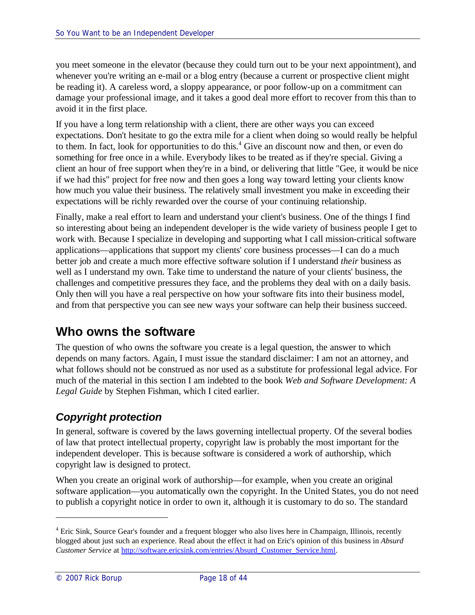you meet someone in the elevator (because they could turn out to be your next appointment), and whenever you're writing an e-mail or a blog entry (because a current or prospective client might be reading it). A careless word, a sloppy appearance, or poor follow-up on a commitment can damage your professional image, and it takes a good deal more effort to recover from this than to avoid it in the first place.

If you have a long term relationship with a client, there are other ways you can exceed expectations. Don't hesitate to go the extra mile for a client when doing so would really be helpful to them. In fact, look for opportunities to do this.<sup>4</sup> Give an discount now and then, or even do something for free once in a while. Everybody likes to be treated as if they're special. Giving a client an hour of free support when they're in a bind, or delivering that little "Gee, it would be nice if we had this" project for free now and then goes a long way toward letting your clients know how much you value their business. The relatively small investment you make in exceeding their expectations will be richly rewarded over the course of your continuing relationship.

Finally, make a real effort to learn and understand your client's business. One of the things I find so interesting about being an independent developer is the wide variety of business people I get to work with. Because I specialize in developing and supporting what I call mission-critical software applications—applications that support my clients' core business processes—I can do a much better job and create a much more effective software solution if I understand *their* business as well as I understand my own. Take time to understand the nature of your clients' business, the challenges and competitive pressures they face, and the problems they deal with on a daily basis. Only then will you have a real perspective on how your software fits into their business model, and from that perspective you can see new ways your software can help their business succeed.

# **Who owns the software**

The question of who owns the software you create is a legal question, the answer to which depends on many factors. Again, I must issue the standard disclaimer: I am not an attorney, and what follows should not be construed as nor used as a substitute for professional legal advice. For much of the material in this section I am indebted to the book *Web and Software Development: A Legal Guide* by Stephen Fishman, which I cited earlier.

# *Copyright protection*

In general, software is covered by the laws governing intellectual property. Of the several bodies of law that protect intellectual property, copyright law is probably the most important for the independent developer. This is because software is considered a work of authorship, which copyright law is designed to protect.

When you create an original work of authorship—for example, when you create an original software application—you automatically own the copyright. In the United States, you do not need to publish a copyright notice in order to own it, although it is customary to do so. The standard

<sup>&</sup>lt;sup>4</sup> Eric Sink, Source Gear's founder and a frequent blogger who also lives here in Champaign, Illinois, recently blogged about just such an experience. Read about the effect it had on Eric's opinion of this business in *Absurd Customer Service* at http://software.ericsink.com/entries/Absurd\_Customer\_Service.html.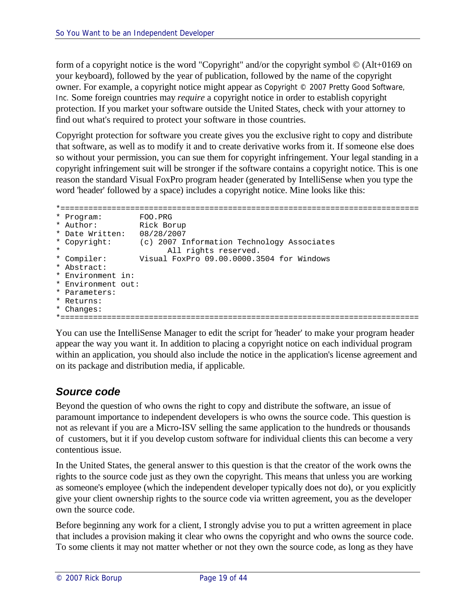form of a copyright notice is the word "Copyright" and/or the copyright symbol © (Alt+0169 on your keyboard), followed by the year of publication, followed by the name of the copyright owner. For example, a copyright notice might appear as Copyright © 2007 Pretty Good Software, Inc. Some foreign countries may *require* a copyright notice in order to establish copyright protection. If you market your software outside the United States, check with your attorney to find out what's required to protect your software in those countries.

Copyright protection for software you create gives you the exclusive right to copy and distribute that software, as well as to modify it and to create derivative works from it. If someone else does so without your permission, you can sue them for copyright infringement. Your legal standing in a copyright infringement suit will be stronger if the software contains a copyright notice. This is one reason the standard Visual FoxPro program header (generated by IntelliSense when you type the word 'header' followed by a space) includes a copyright notice. Mine looks like this:

```
*=============================================================================
* Program: FOO.PRG
* Author: Rick Borup
* Date Written: 08/28/2007
* Copyright: (c) 2007 Information Technology Associates
                All rights reserved.
* Compiler: Visual FoxPro 09.00.0000.3504 for Windows
* Abstract:
* Environment in:
* Environment out:
* Parameters:
* Returns:
* Changes:
*=============================================================================
```
You can use the IntelliSense Manager to edit the script for 'header' to make your program header appear the way you want it. In addition to placing a copyright notice on each individual program within an application, you should also include the notice in the application's license agreement and on its package and distribution media, if applicable.

# *Source code*

Beyond the question of who owns the right to copy and distribute the software, an issue of paramount importance to independent developers is who owns the source code. This question is not as relevant if you are a Micro-ISV selling the same application to the hundreds or thousands of customers, but it if you develop custom software for individual clients this can become a very contentious issue.

In the United States, the general answer to this question is that the creator of the work owns the rights to the source code just as they own the copyright. This means that unless you are working as someone's employee (which the independent developer typically does not do), or you explicitly give your client ownership rights to the source code via written agreement, you as the developer own the source code.

Before beginning any work for a client, I strongly advise you to put a written agreement in place that includes a provision making it clear who owns the copyright and who owns the source code. To some clients it may not matter whether or not they own the source code, as long as they have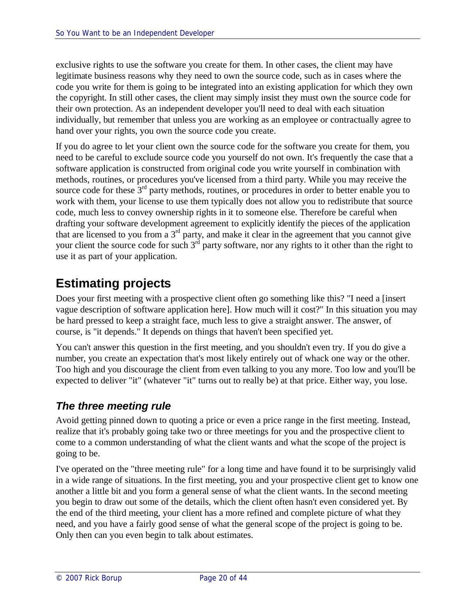exclusive rights to use the software you create for them. In other cases, the client may have legitimate business reasons why they need to own the source code, such as in cases where the code you write for them is going to be integrated into an existing application for which they own the copyright. In still other cases, the client may simply insist they must own the source code for their own protection. As an independent developer you'll need to deal with each situation individually, but remember that unless you are working as an employee or contractually agree to hand over your rights, you own the source code you create.

If you do agree to let your client own the source code for the software you create for them, you need to be careful to exclude source code you yourself do not own. It's frequently the case that a software application is constructed from original code you write yourself in combination with methods, routines, or procedures you've licensed from a third party. While you may receive the source code for these  $3<sup>rd</sup>$  party methods, routines, or procedures in order to better enable you to work with them, your license to use them typically does not allow you to redistribute that source code, much less to convey ownership rights in it to someone else. Therefore be careful when drafting your software development agreement to explicitly identify the pieces of the application that are licensed to you from a  $3<sup>rd</sup>$  party, and make it clear in the agreement that you cannot give your client the source code for such  $3<sup>rd</sup>$  party software, nor any rights to it other than the right to use it as part of your application.

# **Estimating projects**

Does your first meeting with a prospective client often go something like this? "I need a [insert vague description of software application here]. How much will it cost?" In this situation you may be hard pressed to keep a straight face, much less to give a straight answer. The answer, of course, is "it depends." It depends on things that haven't been specified yet.

You can't answer this question in the first meeting, and you shouldn't even try. If you do give a number, you create an expectation that's most likely entirely out of whack one way or the other. Too high and you discourage the client from even talking to you any more. Too low and you'll be expected to deliver "it" (whatever "it" turns out to really be) at that price. Either way, you lose.

# *The three meeting rule*

Avoid getting pinned down to quoting a price or even a price range in the first meeting. Instead, realize that it's probably going take two or three meetings for you and the prospective client to come to a common understanding of what the client wants and what the scope of the project is going to be.

I've operated on the "three meeting rule" for a long time and have found it to be surprisingly valid in a wide range of situations. In the first meeting, you and your prospective client get to know one another a little bit and you form a general sense of what the client wants. In the second meeting you begin to draw out some of the details, which the client often hasn't even considered yet. By the end of the third meeting, your client has a more refined and complete picture of what they need, and you have a fairly good sense of what the general scope of the project is going to be. Only then can you even begin to talk about estimates.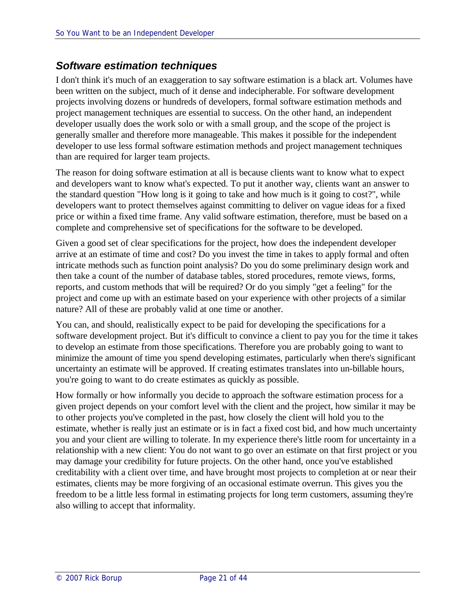### *Software estimation techniques*

I don't think it's much of an exaggeration to say software estimation is a black art. Volumes have been written on the subject, much of it dense and indecipherable. For software development projects involving dozens or hundreds of developers, formal software estimation methods and project management techniques are essential to success. On the other hand, an independent developer usually does the work solo or with a small group, and the scope of the project is generally smaller and therefore more manageable. This makes it possible for the independent developer to use less formal software estimation methods and project management techniques than are required for larger team projects.

The reason for doing software estimation at all is because clients want to know what to expect and developers want to know what's expected. To put it another way, clients want an answer to the standard question "How long is it going to take and how much is it going to cost?", while developers want to protect themselves against committing to deliver on vague ideas for a fixed price or within a fixed time frame. Any valid software estimation, therefore, must be based on a complete and comprehensive set of specifications for the software to be developed.

Given a good set of clear specifications for the project, how does the independent developer arrive at an estimate of time and cost? Do you invest the time in takes to apply formal and often intricate methods such as function point analysis? Do you do some preliminary design work and then take a count of the number of database tables, stored procedures, remote views, forms, reports, and custom methods that will be required? Or do you simply "get a feeling" for the project and come up with an estimate based on your experience with other projects of a similar nature? All of these are probably valid at one time or another.

You can, and should, realistically expect to be paid for developing the specifications for a software development project. But it's difficult to convince a client to pay you for the time it takes to develop an estimate from those specifications. Therefore you are probably going to want to minimize the amount of time you spend developing estimates, particularly when there's significant uncertainty an estimate will be approved. If creating estimates translates into un-billable hours, you're going to want to do create estimates as quickly as possible.

How formally or how informally you decide to approach the software estimation process for a given project depends on your comfort level with the client and the project, how similar it may be to other projects you've completed in the past, how closely the client will hold you to the estimate, whether is really just an estimate or is in fact a fixed cost bid, and how much uncertainty you and your client are willing to tolerate. In my experience there's little room for uncertainty in a relationship with a new client: You do not want to go over an estimate on that first project or you may damage your credibility for future projects. On the other hand, once you've established creditability with a client over time, and have brought most projects to completion at or near their estimates, clients may be more forgiving of an occasional estimate overrun. This gives you the freedom to be a little less formal in estimating projects for long term customers, assuming they're also willing to accept that informality.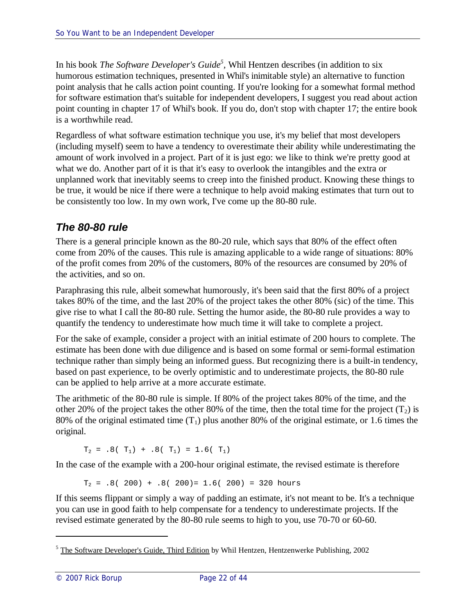In his book *The Software Developer's Guide*<sup>5</sup>, Whil Hentzen describes (in addition to six humorous estimation techniques, presented in Whil's inimitable style) an alternative to function point analysis that he calls action point counting. If you're looking for a somewhat formal method for software estimation that's suitable for independent developers, I suggest you read about action point counting in chapter 17 of Whil's book. If you do, don't stop with chapter 17; the entire book is a worthwhile read.

Regardless of what software estimation technique you use, it's my belief that most developers (including myself) seem to have a tendency to overestimate their ability while underestimating the amount of work involved in a project. Part of it is just ego: we like to think we're pretty good at what we do. Another part of it is that it's easy to overlook the intangibles and the extra or unplanned work that inevitably seems to creep into the finished product. Knowing these things to be true, it would be nice if there were a technique to help avoid making estimates that turn out to be consistently too low. In my own work, I've come up the 80-80 rule.

# *The 80-80 rule*

There is a general principle known as the 80-20 rule, which says that 80% of the effect often come from 20% of the causes. This rule is amazing applicable to a wide range of situations: 80% of the profit comes from 20% of the customers, 80% of the resources are consumed by 20% of the activities, and so on.

Paraphrasing this rule, albeit somewhat humorously, it's been said that the first 80% of a project takes 80% of the time, and the last 20% of the project takes the other 80% (sic) of the time. This give rise to what I call the 80-80 rule. Setting the humor aside, the 80-80 rule provides a way to quantify the tendency to underestimate how much time it will take to complete a project.

For the sake of example, consider a project with an initial estimate of 200 hours to complete. The estimate has been done with due diligence and is based on some formal or semi-formal estimation technique rather than simply being an informed guess. But recognizing there is a built-in tendency, based on past experience, to be overly optimistic and to underestimate projects, the 80-80 rule can be applied to help arrive at a more accurate estimate.

The arithmetic of the 80-80 rule is simple. If 80% of the project takes 80% of the time, and the other 20% of the project takes the other 80% of the time, then the total time for the project  $(T_2)$  is 80% of the original estimated time  $(T_1)$  plus another 80% of the original estimate, or 1.6 times the original.

 $T_2 = .8(T_1) + .8(T_1) = 1.6(T_1)$ 

In the case of the example with a 200-hour original estimate, the revised estimate is therefore

 $T_2$  = .8( 200) + .8( 200) = 1.6( 200) = 320 hours

If this seems flippant or simply a way of padding an estimate, it's not meant to be. It's a technique you can use in good faith to help compensate for a tendency to underestimate projects. If the revised estimate generated by the 80-80 rule seems to high to you, use 70-70 or 60-60.

<sup>&</sup>lt;sup>5</sup> The Software Developer's Guide, Third Edition by Whil Hentzen, Hentzenwerke Publishing, 2002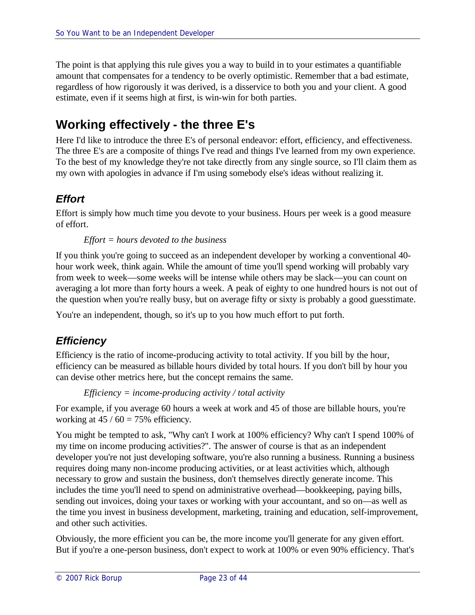The point is that applying this rule gives you a way to build in to your estimates a quantifiable amount that compensates for a tendency to be overly optimistic. Remember that a bad estimate, regardless of how rigorously it was derived, is a disservice to both you and your client. A good estimate, even if it seems high at first, is win-win for both parties.

# **Working effectively - the three E's**

Here I'd like to introduce the three E's of personal endeavor: effort, efficiency, and effectiveness. The three E's are a composite of things I've read and things I've learned from my own experience. To the best of my knowledge they're not take directly from any single source, so I'll claim them as my own with apologies in advance if I'm using somebody else's ideas without realizing it.

# *Effort*

Effort is simply how much time you devote to your business. Hours per week is a good measure of effort.

#### *Effort = hours devoted to the business*

If you think you're going to succeed as an independent developer by working a conventional 40 hour work week, think again. While the amount of time you'll spend working will probably vary from week to week—some weeks will be intense while others may be slack—you can count on averaging a lot more than forty hours a week. A peak of eighty to one hundred hours is not out of the question when you're really busy, but on average fifty or sixty is probably a good guesstimate.

You're an independent, though, so it's up to you how much effort to put forth.

### *Efficiency*

Efficiency is the ratio of income-producing activity to total activity. If you bill by the hour, efficiency can be measured as billable hours divided by total hours. If you don't bill by hour you can devise other metrics here, but the concept remains the same.

```
Efficiency = income-producing activity / total activity
```
For example, if you average 60 hours a week at work and 45 of those are billable hours, you're working at  $45 / 60 = 75%$  efficiency.

You might be tempted to ask, "Why can't I work at 100% efficiency? Why can't I spend 100% of my time on income producing activities?". The answer of course is that as an independent developer you're not just developing software, you're also running a business. Running a business requires doing many non-income producing activities, or at least activities which, although necessary to grow and sustain the business, don't themselves directly generate income. This includes the time you'll need to spend on administrative overhead—bookkeeping, paying bills, sending out invoices, doing your taxes or working with your accountant, and so on—as well as the time you invest in business development, marketing, training and education, self-improvement, and other such activities.

Obviously, the more efficient you can be, the more income you'll generate for any given effort. But if you're a one-person business, don't expect to work at 100% or even 90% efficiency. That's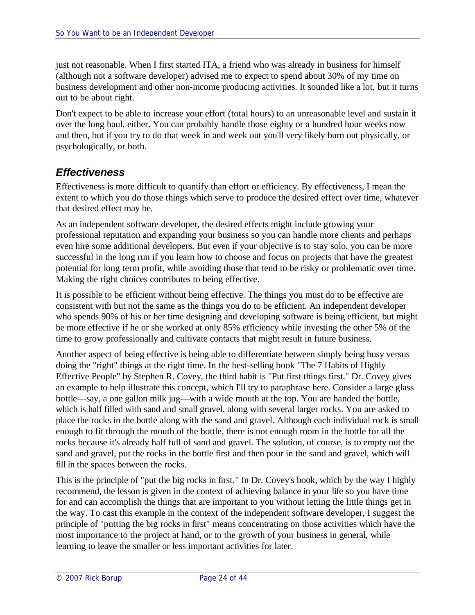just not reasonable. When I first started ITA, a friend who was already in business for himself (although not a software developer) advised me to expect to spend about 30% of my time on business development and other non-income producing activities. It sounded like a lot, but it turns out to be about right.

Don't expect to be able to increase your effort (total hours) to an unreasonable level and sustain it over the long haul, either. You can probably handle those eighty or a hundred hour weeks now and then, but if you try to do that week in and week out you'll very likely burn out physically, or psychologically, or both.

### *Effectiveness*

Effectiveness is more difficult to quantify than effort or efficiency. By effectiveness, I mean the extent to which you do those things which serve to produce the desired effect over time, whatever that desired effect may be.

As an independent software developer, the desired effects might include growing your professional reputation and expanding your business so you can handle more clients and perhaps even hire some additional developers. But even if your objective is to stay solo, you can be more successful in the long run if you learn how to choose and focus on projects that have the greatest potential for long term profit, while avoiding those that tend to be risky or problematic over time. Making the right choices contributes to being effective.

It is possible to be efficient without being effective. The things you must do to be effective are consistent with but not the same as the things you do to be efficient. An independent developer who spends 90% of his or her time designing and developing software is being efficient, but might be more effective if he or she worked at only 85% efficiency while investing the other 5% of the time to grow professionally and cultivate contacts that might result in future business.

Another aspect of being effective is being able to differentiate between simply being busy versus doing the "right" things at the right time. In the best-selling book "The 7 Habits of Highly Effective People" by Stephen R. Covey, the third habit is "Put first things first." Dr. Covey gives an example to help illustrate this concept, which I'll try to paraphrase here. Consider a large glass bottle—say, a one gallon milk jug—with a wide mouth at the top. You are handed the bottle, which is half filled with sand and small gravel, along with several larger rocks. You are asked to place the rocks in the bottle along with the sand and gravel. Although each individual rock is small enough to fit through the mouth of the bottle, there is not enough room in the bottle for all the rocks because it's already half full of sand and gravel. The solution, of course, is to empty out the sand and gravel, put the rocks in the bottle first and then pour in the sand and gravel, which will fill in the spaces between the rocks.

This is the principle of "put the big rocks in first." In Dr. Covey's book, which by the way I highly recommend, the lesson is given in the context of achieving balance in your life so you have time for and can accomplish the things that are important to you without letting the little things get in the way. To cast this example in the context of the independent software developer, I suggest the principle of "putting the big rocks in first" means concentrating on those activities which have the most importance to the project at hand, or to the growth of your business in general, while learning to leave the smaller or less important activities for later.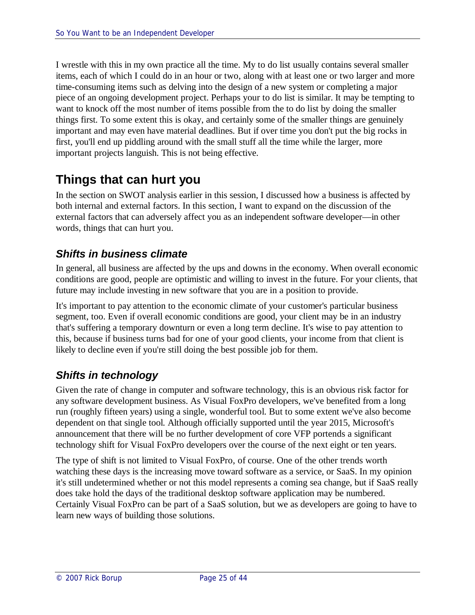I wrestle with this in my own practice all the time. My to do list usually contains several smaller items, each of which I could do in an hour or two, along with at least one or two larger and more time-consuming items such as delving into the design of a new system or completing a major piece of an ongoing development project. Perhaps your to do list is similar. It may be tempting to want to knock off the most number of items possible from the to do list by doing the smaller things first. To some extent this is okay, and certainly some of the smaller things are genuinely important and may even have material deadlines. But if over time you don't put the big rocks in first, you'll end up piddling around with the small stuff all the time while the larger, more important projects languish. This is not being effective.

# **Things that can hurt you**

In the section on SWOT analysis earlier in this session, I discussed how a business is affected by both internal and external factors. In this section, I want to expand on the discussion of the external factors that can adversely affect you as an independent software developer—in other words, things that can hurt you.

# *Shifts in business climate*

In general, all business are affected by the ups and downs in the economy. When overall economic conditions are good, people are optimistic and willing to invest in the future. For your clients, that future may include investing in new software that you are in a position to provide.

It's important to pay attention to the economic climate of your customer's particular business segment, too. Even if overall economic conditions are good, your client may be in an industry that's suffering a temporary downturn or even a long term decline. It's wise to pay attention to this, because if business turns bad for one of your good clients, your income from that client is likely to decline even if you're still doing the best possible job for them.

# *Shifts in technology*

Given the rate of change in computer and software technology, this is an obvious risk factor for any software development business. As Visual FoxPro developers, we've benefited from a long run (roughly fifteen years) using a single, wonderful tool. But to some extent we've also become dependent on that single tool. Although officially supported until the year 2015, Microsoft's announcement that there will be no further development of core VFP portends a significant technology shift for Visual FoxPro developers over the course of the next eight or ten years.

The type of shift is not limited to Visual FoxPro, of course. One of the other trends worth watching these days is the increasing move toward software as a service, or SaaS. In my opinion it's still undetermined whether or not this model represents a coming sea change, but if SaaS really does take hold the days of the traditional desktop software application may be numbered. Certainly Visual FoxPro can be part of a SaaS solution, but we as developers are going to have to learn new ways of building those solutions.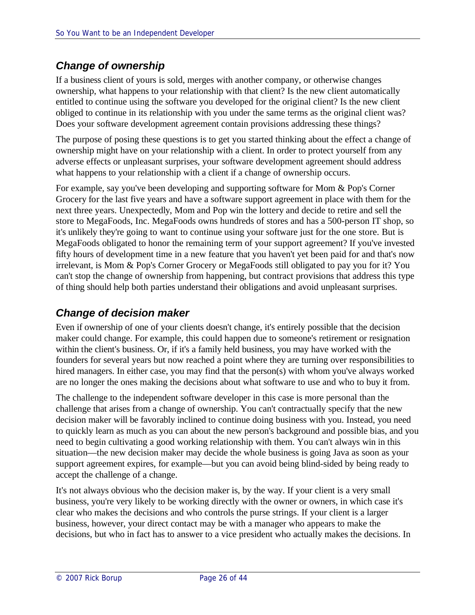# *Change of ownership*

If a business client of yours is sold, merges with another company, or otherwise changes ownership, what happens to your relationship with that client? Is the new client automatically entitled to continue using the software you developed for the original client? Is the new client obliged to continue in its relationship with you under the same terms as the original client was? Does your software development agreement contain provisions addressing these things?

The purpose of posing these questions is to get you started thinking about the effect a change of ownership might have on your relationship with a client. In order to protect yourself from any adverse effects or unpleasant surprises, your software development agreement should address what happens to your relationship with a client if a change of ownership occurs.

For example, say you've been developing and supporting software for Mom & Pop's Corner Grocery for the last five years and have a software support agreement in place with them for the next three years. Unexpectedly, Mom and Pop win the lottery and decide to retire and sell the store to MegaFoods, Inc. MegaFoods owns hundreds of stores and has a 500-person IT shop, so it's unlikely they're going to want to continue using your software just for the one store. But is MegaFoods obligated to honor the remaining term of your support agreement? If you've invested fifty hours of development time in a new feature that you haven't yet been paid for and that's now irrelevant, is Mom & Pop's Corner Grocery or MegaFoods still obligated to pay you for it? You can't stop the change of ownership from happening, but contract provisions that address this type of thing should help both parties understand their obligations and avoid unpleasant surprises.

# *Change of decision maker*

Even if ownership of one of your clients doesn't change, it's entirely possible that the decision maker could change. For example, this could happen due to someone's retirement or resignation within the client's business. Or, if it's a family held business, you may have worked with the founders for several years but now reached a point where they are turning over responsibilities to hired managers. In either case, you may find that the person(s) with whom you've always worked are no longer the ones making the decisions about what software to use and who to buy it from.

The challenge to the independent software developer in this case is more personal than the challenge that arises from a change of ownership. You can't contractually specify that the new decision maker will be favorably inclined to continue doing business with you. Instead, you need to quickly learn as much as you can about the new person's background and possible bias, and you need to begin cultivating a good working relationship with them. You can't always win in this situation—the new decision maker may decide the whole business is going Java as soon as your support agreement expires, for example—but you can avoid being blind-sided by being ready to accept the challenge of a change.

It's not always obvious who the decision maker is, by the way. If your client is a very small business, you're very likely to be working directly with the owner or owners, in which case it's clear who makes the decisions and who controls the purse strings. If your client is a larger business, however, your direct contact may be with a manager who appears to make the decisions, but who in fact has to answer to a vice president who actually makes the decisions. In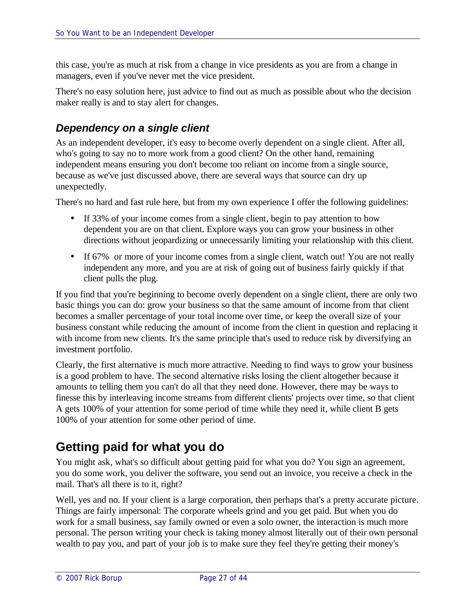this case, you're as much at risk from a change in vice presidents as you are from a change in managers, even if you've never met the vice president.

There's no easy solution here, just advice to find out as much as possible about who the decision maker really is and to stay alert for changes.

### *Dependency on a single client*

As an independent developer, it's easy to become overly dependent on a single client. After all, who's going to say no to more work from a good client? On the other hand, remaining independent means ensuring you don't become too reliant on income from a single source, because as we've just discussed above, there are several ways that source can dry up unexpectedly.

There's no hard and fast rule here, but from my own experience I offer the following guidelines:

- If 33% of your income comes from a single client, begin to pay attention to how dependent you are on that client. Explore ways you can grow your business in other directions without jeopardizing or unnecessarily limiting your relationship with this client.
- If 67% or more of your income comes from a single client, watch out! You are not really independent any more, and you are at risk of going out of business fairly quickly if that client pulls the plug.

If you find that you're beginning to become overly dependent on a single client, there are only two basic things you can do: grow your business so that the same amount of income from that client becomes a smaller percentage of your total income over time, or keep the overall size of your business constant while reducing the amount of income from the client in question and replacing it with income from new clients. It's the same principle that's used to reduce risk by diversifying an investment portfolio.

Clearly, the first alternative is much more attractive. Needing to find ways to grow your business is a good problem to have. The second alternative risks losing the client altogether because it amounts to telling them you can't do all that they need done. However, there may be ways to finesse this by interleaving income streams from different clients' projects over time, so that client A gets 100% of your attention for some period of time while they need it, while client B gets 100% of your attention for some other period of time.

# **Getting paid for what you do**

You might ask, what's so difficult about getting paid for what you do? You sign an agreement, you do some work, you deliver the software, you send out an invoice, you receive a check in the mail. That's all there is to it, right?

Well, yes and no. If your client is a large corporation, then perhaps that's a pretty accurate picture. Things are fairly impersonal: The corporate wheels grind and you get paid. But when you do work for a small business, say family owned or even a solo owner, the interaction is much more personal. The person writing your check is taking money almost literally out of their own personal wealth to pay you, and part of your job is to make sure they feel they're getting their money's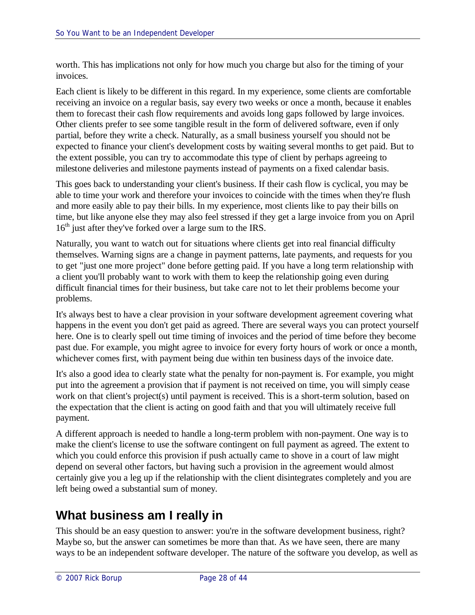worth. This has implications not only for how much you charge but also for the timing of your invoices.

Each client is likely to be different in this regard. In my experience, some clients are comfortable receiving an invoice on a regular basis, say every two weeks or once a month, because it enables them to forecast their cash flow requirements and avoids long gaps followed by large invoices. Other clients prefer to see some tangible result in the form of delivered software, even if only partial, before they write a check. Naturally, as a small business yourself you should not be expected to finance your client's development costs by waiting several months to get paid. But to the extent possible, you can try to accommodate this type of client by perhaps agreeing to milestone deliveries and milestone payments instead of payments on a fixed calendar basis.

This goes back to understanding your client's business. If their cash flow is cyclical, you may be able to time your work and therefore your invoices to coincide with the times when they're flush and more easily able to pay their bills. In my experience, most clients like to pay their bills on time, but like anyone else they may also feel stressed if they get a large invoice from you on April  $16<sup>th</sup>$  just after they've forked over a large sum to the IRS.

Naturally, you want to watch out for situations where clients get into real financial difficulty themselves. Warning signs are a change in payment patterns, late payments, and requests for you to get "just one more project" done before getting paid. If you have a long term relationship with a client you'll probably want to work with them to keep the relationship going even during difficult financial times for their business, but take care not to let their problems become your problems.

It's always best to have a clear provision in your software development agreement covering what happens in the event you don't get paid as agreed. There are several ways you can protect yourself here. One is to clearly spell out time timing of invoices and the period of time before they become past due. For example, you might agree to invoice for every forty hours of work or once a month, whichever comes first, with payment being due within ten business days of the invoice date.

It's also a good idea to clearly state what the penalty for non-payment is. For example, you might put into the agreement a provision that if payment is not received on time, you will simply cease work on that client's project(s) until payment is received. This is a short-term solution, based on the expectation that the client is acting on good faith and that you will ultimately receive full payment.

A different approach is needed to handle a long-term problem with non-payment. One way is to make the client's license to use the software contingent on full payment as agreed. The extent to which you could enforce this provision if push actually came to shove in a court of law might depend on several other factors, but having such a provision in the agreement would almost certainly give you a leg up if the relationship with the client disintegrates completely and you are left being owed a substantial sum of money.

# **What business am I really in**

This should be an easy question to answer: you're in the software development business, right? Maybe so, but the answer can sometimes be more than that. As we have seen, there are many ways to be an independent software developer. The nature of the software you develop, as well as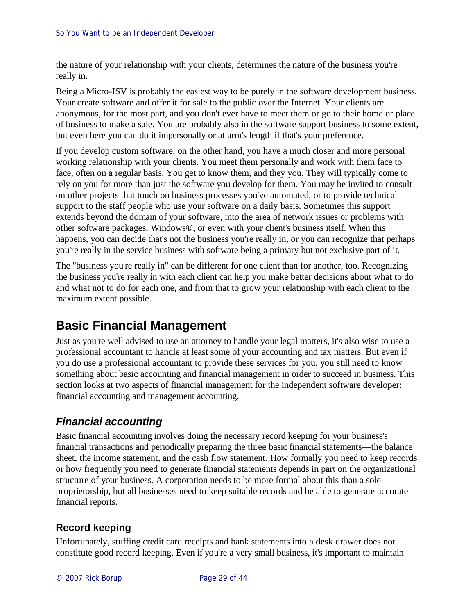the nature of your relationship with your clients, determines the nature of the business you're really in.

Being a Micro-ISV is probably the easiest way to be purely in the software development business. Your create software and offer it for sale to the public over the Internet. Your clients are anonymous, for the most part, and you don't ever have to meet them or go to their home or place of business to make a sale. You are probably also in the software support business to some extent, but even here you can do it impersonally or at arm's length if that's your preference.

If you develop custom software, on the other hand, you have a much closer and more personal working relationship with your clients. You meet them personally and work with them face to face, often on a regular basis. You get to know them, and they you. They will typically come to rely on you for more than just the software you develop for them. You may be invited to consult on other projects that touch on business processes you've automated, or to provide technical support to the staff people who use your software on a daily basis. Sometimes this support extends beyond the domain of your software, into the area of network issues or problems with other software packages, Windows®, or even with your client's business itself. When this happens, you can decide that's not the business you're really in, or you can recognize that perhaps you're really in the service business with software being a primary but not exclusive part of it.

The "business you're really in" can be different for one client than for another, too. Recognizing the business you're really in with each client can help you make better decisions about what to do and what not to do for each one, and from that to grow your relationship with each client to the maximum extent possible.

# **Basic Financial Management**

Just as you're well advised to use an attorney to handle your legal matters, it's also wise to use a professional accountant to handle at least some of your accounting and tax matters. But even if you do use a professional accountant to provide these services for you, you still need to know something about basic accounting and financial management in order to succeed in business. This section looks at two aspects of financial management for the independent software developer: financial accounting and management accounting.

# *Financial accounting*

Basic financial accounting involves doing the necessary record keeping for your business's financial transactions and periodically preparing the three basic financial statements—the balance sheet, the income statement, and the cash flow statement. How formally you need to keep records or how frequently you need to generate financial statements depends in part on the organizational structure of your business. A corporation needs to be more formal about this than a sole proprietorship, but all businesses need to keep suitable records and be able to generate accurate financial reports.

### **Record keeping**

Unfortunately, stuffing credit card receipts and bank statements into a desk drawer does not constitute good record keeping. Even if you're a very small business, it's important to maintain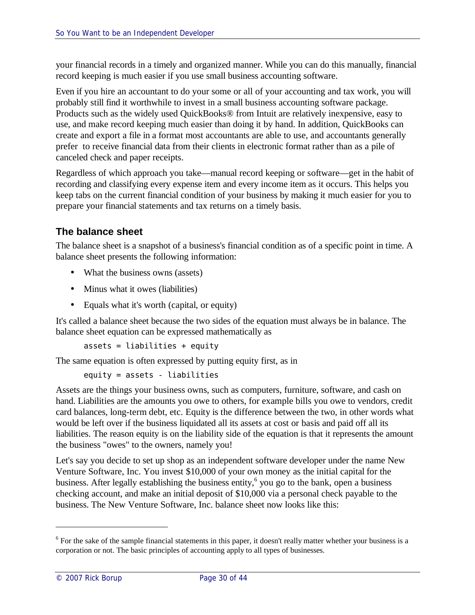your financial records in a timely and organized manner. While you can do this manually, financial record keeping is much easier if you use small business accounting software.

Even if you hire an accountant to do your some or all of your accounting and tax work, you will probably still find it worthwhile to invest in a small business accounting software package. Products such as the widely used QuickBooks® from Intuit are relatively inexpensive, easy to use, and make record keeping much easier than doing it by hand. In addition, QuickBooks can create and export a file in a format most accountants are able to use, and accountants generally prefer to receive financial data from their clients in electronic format rather than as a pile of canceled check and paper receipts.

Regardless of which approach you take—manual record keeping or software—get in the habit of recording and classifying every expense item and every income item as it occurs. This helps you keep tabs on the current financial condition of your business by making it much easier for you to prepare your financial statements and tax returns on a timely basis.

### **The balance sheet**

The balance sheet is a snapshot of a business's financial condition as of a specific point in time. A balance sheet presents the following information:

- What the business owns (assets)
- Minus what it owes (liabilities)
- Equals what it's worth (capital, or equity)

It's called a balance sheet because the two sides of the equation must always be in balance. The balance sheet equation can be expressed mathematically as

```
assets = liabilities + equity
```
The same equation is often expressed by putting equity first, as in

```
equity = assets - liabilities
```
Assets are the things your business owns, such as computers, furniture, software, and cash on hand. Liabilities are the amounts you owe to others, for example bills you owe to vendors, credit card balances, long-term debt, etc. Equity is the difference between the two, in other words what would be left over if the business liquidated all its assets at cost or basis and paid off all its liabilities. The reason equity is on the liability side of the equation is that it represents the amount the business "owes" to the owners, namely you!

Let's say you decide to set up shop as an independent software developer under the name New Venture Software, Inc. You invest \$10,000 of your own money as the initial capital for the business. After legally establishing the business entity,<sup>6</sup> you go to the bank, open a business checking account, and make an initial deposit of \$10,000 via a personal check payable to the business. The New Venture Software, Inc. balance sheet now looks like this:

<sup>&</sup>lt;sup>6</sup> For the sake of the sample financial statements in this paper, it doesn't really matter whether your business is a corporation or not. The basic principles of accounting apply to all types of businesses.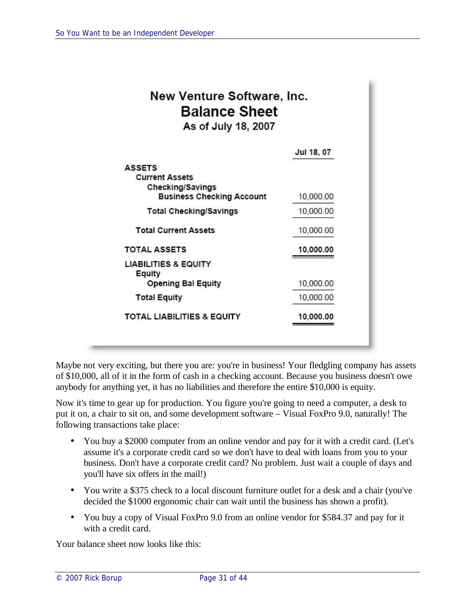| New Venture Software, Inc.<br><b>Balance Sheet</b><br>As of July 18, 2007                      |            |
|------------------------------------------------------------------------------------------------|------------|
|                                                                                                | Jul 18, 07 |
| <b>ASSETS</b><br><b>Current Assets</b><br>Checking/Savings<br><b>Business Checking Account</b> | 10,000.00  |
| <b>Total Checking/Savings</b>                                                                  | 10,000.00  |
| <b>Total Current Assets</b>                                                                    | 10,000.00  |
| <b>TOTAL ASSETS</b>                                                                            | 10,000.00  |
| LIABILITIES & EQUITY<br>Equity                                                                 |            |
| <b>Opening Bal Equity</b>                                                                      | 10,000.00  |
| <b>Total Equity</b>                                                                            | 10,000.00  |
| <b>TOTAL LIABILITIES &amp; EQUITY</b>                                                          | 10,000.00  |

Maybe not very exciting, but there you are: you're in business! Your fledgling company has assets of \$10,000, all of it in the form of cash in a checking account. Because you business doesn't owe anybody for anything yet, it has no liabilities and therefore the entire \$10,000 is equity.

Now it's time to gear up for production. You figure you're going to need a computer, a desk to put it on, a chair to sit on, and some development software – Visual FoxPro 9.0, naturally! The following transactions take place:

- You buy a \$2000 computer from an online vendor and pay for it with a credit card. (Let's assume it's a corporate credit card so we don't have to deal with loans from you to your business. Don't have a corporate credit card? No problem. Just wait a couple of days and you'll have six offers in the mail!)
- You write a \$375 check to a local discount furniture outlet for a desk and a chair (you've decided the \$1000 ergonomic chair can wait until the business has shown a profit).
- You buy a copy of Visual FoxPro 9.0 from an online vendor for \$584.37 and pay for it with a credit card.

Your balance sheet now looks like this: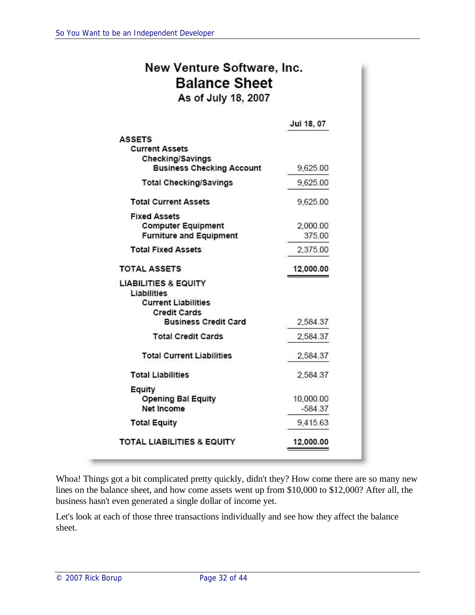| New Venture Software, Inc. |
|----------------------------|
| <b>Balance Sheet</b>       |
| As of July 18, 2007        |

|                                                                                                                                    | Jul 18, 07             |
|------------------------------------------------------------------------------------------------------------------------------------|------------------------|
| <b>ASSETS</b><br><b>Current Assets</b>                                                                                             |                        |
| Checking/Savings<br><b>Business Checking Account</b>                                                                               | 9,625.00               |
| <b>Total Checking/Savings</b>                                                                                                      | 9,625.00               |
| <b>Total Current Assets</b>                                                                                                        | 9,625.00               |
| <b>Fixed Assets</b><br><b>Computer Equipment</b><br><b>Furniture and Equipment</b>                                                 | 2,000.00<br>375.00     |
| <b>Total Fixed Assets</b>                                                                                                          | 2,375.00               |
| <b>TOTAL ASSETS</b>                                                                                                                | 12,000.00              |
| <b>LIABILITIES &amp; EQUITY</b><br>Liabilities<br><b>Current Liabilities</b><br><b>Credit Cards</b><br><b>Business Credit Card</b> | 2,584.37               |
| <b>Total Credit Cards</b>                                                                                                          | 2,584.37               |
| <b>Total Current Liabilities</b>                                                                                                   | 2,584.37               |
| <b>Total Liabilities</b>                                                                                                           | 2,584.37               |
| Equity<br><b>Opening Bal Equity</b><br>Net Income                                                                                  | 10,000.00<br>$-584.37$ |
| <b>Total Equity</b>                                                                                                                | 9,415.63               |
|                                                                                                                                    |                        |

Whoa! Things got a bit complicated pretty quickly, didn't they? How come there are so many new lines on the balance sheet, and how come assets went up from \$10,000 to \$12,000? After all, the business hasn't even generated a single dollar of income yet.

Let's look at each of those three transactions individually and see how they affect the balance sheet.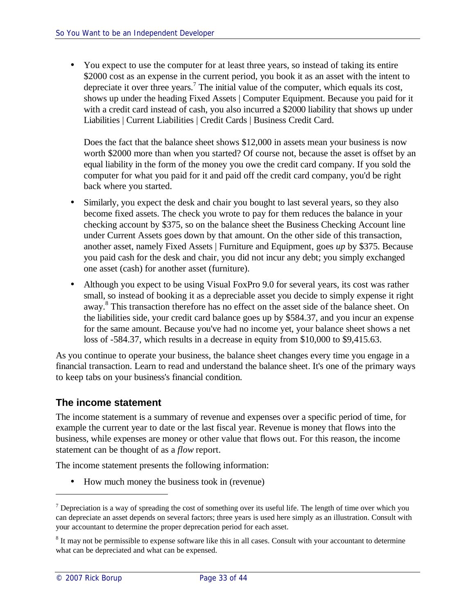• You expect to use the computer for at least three years, so instead of taking its entire \$2000 cost as an expense in the current period, you book it as an asset with the intent to depreciate it over three years.<sup>7</sup> The initial value of the computer, which equals its cost, shows up under the heading Fixed Assets | Computer Equipment. Because you paid for it with a credit card instead of cash, you also incurred a \$2000 liability that shows up under Liabilities | Current Liabilities | Credit Cards | Business Credit Card.

Does the fact that the balance sheet shows \$12,000 in assets mean your business is now worth \$2000 more than when you started? Of course not, because the asset is offset by an equal liability in the form of the money you owe the credit card company. If you sold the computer for what you paid for it and paid off the credit card company, you'd be right back where you started.

- Similarly, you expect the desk and chair you bought to last several years, so they also become fixed assets. The check you wrote to pay for them reduces the balance in your checking account by \$375, so on the balance sheet the Business Checking Account line under Current Assets goes down by that amount. On the other side of this transaction, another asset, namely Fixed Assets | Furniture and Equipment, goes *up* by \$375. Because you paid cash for the desk and chair, you did not incur any debt; you simply exchanged one asset (cash) for another asset (furniture).
- Although you expect to be using Visual FoxPro 9.0 for several years, its cost was rather small, so instead of booking it as a depreciable asset you decide to simply expense it right away.<sup>8</sup> This transaction therefore has no effect on the asset side of the balance sheet. On the liabilities side, your credit card balance goes up by \$584.37, and you incur an expense for the same amount. Because you've had no income yet, your balance sheet shows a net loss of -584.37, which results in a decrease in equity from \$10,000 to \$9,415.63.

As you continue to operate your business, the balance sheet changes every time you engage in a financial transaction. Learn to read and understand the balance sheet. It's one of the primary ways to keep tabs on your business's financial condition.

#### **The income statement**

The income statement is a summary of revenue and expenses over a specific period of time, for example the current year to date or the last fiscal year. Revenue is money that flows into the business, while expenses are money or other value that flows out. For this reason, the income statement can be thought of as a *flow* report.

The income statement presents the following information:

• How much money the business took in (revenue)

 $<sup>7</sup>$  Depreciation is a way of spreading the cost of something over its useful life. The length of time over which you</sup> can depreciate an asset depends on several factors; three years is used here simply as an illustration. Consult with your accountant to determine the proper deprecation period for each asset.

 $8$  It may not be permissible to expense software like this in all cases. Consult with your accountant to determine what can be depreciated and what can be expensed.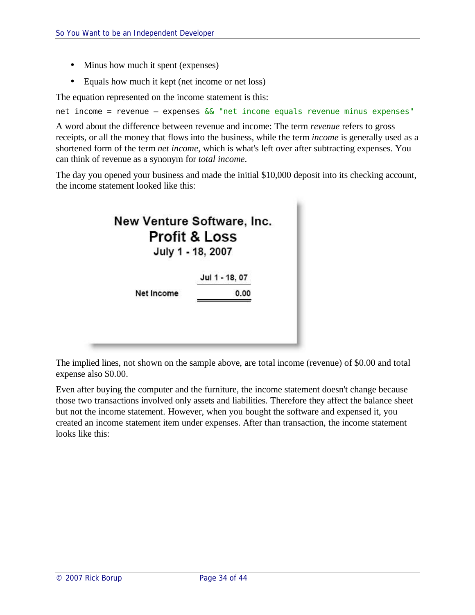- Minus how much it spent (expenses)
- Equals how much it kept (net income or net loss)

The equation represented on the income statement is this:

net income = revenue - expenses && "net income equals revenue minus expenses"

A word about the difference between revenue and income: The term *revenue* refers to gross receipts, or all the money that flows into the business, while the term *income* is generally used as a shortened form of the term *net income*, which is what's left over after subtracting expenses. You can think of revenue as a synonym for *total income*.

The day you opened your business and made the initial \$10,000 deposit into its checking account, the income statement looked like this:



The implied lines, not shown on the sample above, are total income (revenue) of \$0.00 and total expense also \$0.00.

Even after buying the computer and the furniture, the income statement doesn't change because those two transactions involved only assets and liabilities. Therefore they affect the balance sheet but not the income statement. However, when you bought the software and expensed it, you created an income statement item under expenses. After than transaction, the income statement looks like this: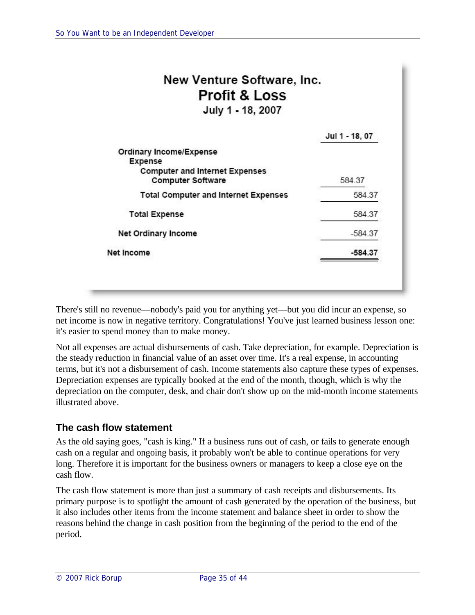| <b>Profit &amp; Loss</b><br>July 1 - 18, 2007                     |                |
|-------------------------------------------------------------------|----------------|
|                                                                   | Jul 1 - 18, 07 |
| <b>Ordinary Income/Expense</b><br><b>Expense</b>                  |                |
| <b>Computer and Internet Expenses</b><br><b>Computer Software</b> | 584.37         |
| <b>Total Computer and Internet Expenses</b>                       | 584.37         |
| <b>Total Expense</b>                                              | 584.37         |
| Net Ordinary Income                                               | $-584.37$      |
| Net Income                                                        | $-584.37$      |

There's still no revenue—nobody's paid you for anything yet—but you did incur an expense, so net income is now in negative territory. Congratulations! You've just learned business lesson one: it's easier to spend money than to make money.

Not all expenses are actual disbursements of cash. Take depreciation, for example. Depreciation is the steady reduction in financial value of an asset over time. It's a real expense, in accounting terms, but it's not a disbursement of cash. Income statements also capture these types of expenses. Depreciation expenses are typically booked at the end of the month, though, which is why the depreciation on the computer, desk, and chair don't show up on the mid-month income statements illustrated above.

#### **The cash flow statement**

As the old saying goes, "cash is king." If a business runs out of cash, or fails to generate enough cash on a regular and ongoing basis, it probably won't be able to continue operations for very long. Therefore it is important for the business owners or managers to keep a close eye on the cash flow.

The cash flow statement is more than just a summary of cash receipts and disbursements. Its primary purpose is to spotlight the amount of cash generated by the operation of the business, but it also includes other items from the income statement and balance sheet in order to show the reasons behind the change in cash position from the beginning of the period to the end of the period.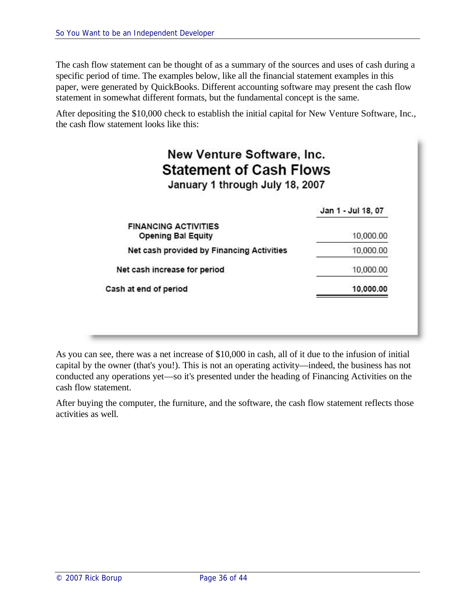The cash flow statement can be thought of as a summary of the sources and uses of cash during a specific period of time. The examples below, like all the financial statement examples in this paper, were generated by QuickBooks. Different accounting software may present the cash flow statement in somewhat different formats, but the fundamental concept is the same.

After depositing the \$10,000 check to establish the initial capital for New Venture Software, Inc., the cash flow statement looks like this:

| New Venture Software, Inc.<br><b>Statement of Cash Flows</b><br>January 1 through July 18, 2007 |                    |
|-------------------------------------------------------------------------------------------------|--------------------|
|                                                                                                 | Jan 1 - Jul 18, 07 |
| <b>FINANCING ACTIVITIES</b><br><b>Opening Bal Equity</b>                                        | 10,000.00          |
| Net cash provided by Financing Activities                                                       | 10,000.00          |
| Net cash increase for period                                                                    | 10,000.00          |
| Cash at end of period                                                                           | 10.000.00          |

As you can see, there was a net increase of \$10,000 in cash, all of it due to the infusion of initial capital by the owner (that's you!). This is not an operating activity—indeed, the business has not conducted any operations yet—so it's presented under the heading of Financing Activities on the cash flow statement.

After buying the computer, the furniture, and the software, the cash flow statement reflects those activities as well.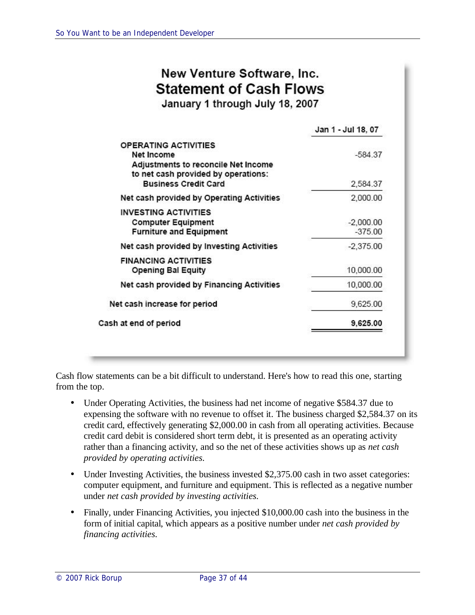# New Venture Software, Inc. **Statement of Cash Flows**

January 1 through July 18, 2007

|                                                                                                                                                        | Jan 1 - Jul 18, 07       |
|--------------------------------------------------------------------------------------------------------------------------------------------------------|--------------------------|
| <b>OPERATING ACTIVITIES</b><br>Net Income<br>Adjustments to reconcile Net Income<br>to net cash provided by operations:<br><b>Business Credit Card</b> | $-584.37$<br>2,584.37    |
| Net cash provided by Operating Activities                                                                                                              | 2,000.00                 |
| <b>INVESTING ACTIVITIES</b><br><b>Computer Equipment</b><br><b>Furniture and Equipment</b>                                                             | $-2,000.00$<br>$-375.00$ |
| Net cash provided by Investing Activities                                                                                                              | $-2.375.00$              |
| <b>FINANCING ACTIVITIES</b><br><b>Opening Bal Equity</b>                                                                                               | 10,000.00                |
| Net cash provided by Financing Activities                                                                                                              | 10,000.00                |
| Net cash increase for period                                                                                                                           | 9,625.00                 |
| Cash at end of period                                                                                                                                  | 9,625.00                 |

Cash flow statements can be a bit difficult to understand. Here's how to read this one, starting from the top.

- Under Operating Activities, the business had net income of negative \$584.37 due to expensing the software with no revenue to offset it. The business charged \$2,584.37 on its credit card, effectively generating \$2,000.00 in cash from all operating activities. Because credit card debit is considered short term debt, it is presented as an operating activity rather than a financing activity, and so the net of these activities shows up as *net cash provided by operating activities*.
- Under Investing Activities, the business invested \$2,375.00 cash in two asset categories: computer equipment, and furniture and equipment. This is reflected as a negative number under *net cash provided by investing activities*.
- Finally, under Financing Activities, you injected \$10,000.00 cash into the business in the form of initial capital, which appears as a positive number under *net cash provided by financing activities*.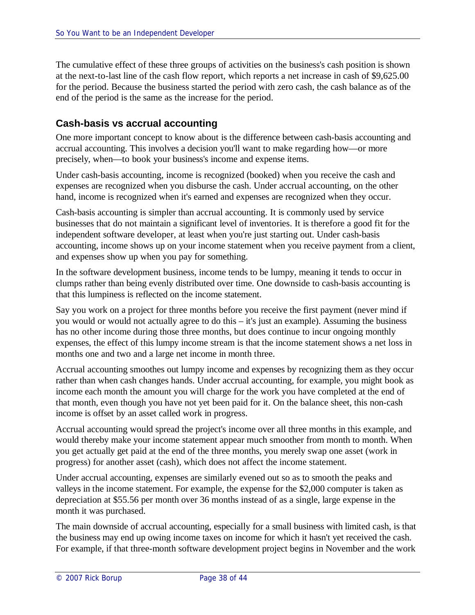The cumulative effect of these three groups of activities on the business's cash position is shown at the next-to-last line of the cash flow report, which reports a net increase in cash of \$9,625.00 for the period. Because the business started the period with zero cash, the cash balance as of the end of the period is the same as the increase for the period.

#### **Cash-basis vs accrual accounting**

One more important concept to know about is the difference between cash-basis accounting and accrual accounting. This involves a decision you'll want to make regarding how—or more precisely, when—to book your business's income and expense items.

Under cash-basis accounting, income is recognized (booked) when you receive the cash and expenses are recognized when you disburse the cash. Under accrual accounting, on the other hand, income is recognized when it's earned and expenses are recognized when they occur.

Cash-basis accounting is simpler than accrual accounting. It is commonly used by service businesses that do not maintain a significant level of inventories. It is therefore a good fit for the independent software developer, at least when you're just starting out. Under cash-basis accounting, income shows up on your income statement when you receive payment from a client, and expenses show up when you pay for something.

In the software development business, income tends to be lumpy, meaning it tends to occur in clumps rather than being evenly distributed over time. One downside to cash-basis accounting is that this lumpiness is reflected on the income statement.

Say you work on a project for three months before you receive the first payment (never mind if you would or would not actually agree to do this – it's just an example). Assuming the business has no other income during those three months, but does continue to incur ongoing monthly expenses, the effect of this lumpy income stream is that the income statement shows a net loss in months one and two and a large net income in month three.

Accrual accounting smoothes out lumpy income and expenses by recognizing them as they occur rather than when cash changes hands. Under accrual accounting, for example, you might book as income each month the amount you will charge for the work you have completed at the end of that month, even though you have not yet been paid for it. On the balance sheet, this non-cash income is offset by an asset called work in progress.

Accrual accounting would spread the project's income over all three months in this example, and would thereby make your income statement appear much smoother from month to month. When you get actually get paid at the end of the three months, you merely swap one asset (work in progress) for another asset (cash), which does not affect the income statement.

Under accrual accounting, expenses are similarly evened out so as to smooth the peaks and valleys in the income statement. For example, the expense for the \$2,000 computer is taken as depreciation at \$55.56 per month over 36 months instead of as a single, large expense in the month it was purchased.

The main downside of accrual accounting, especially for a small business with limited cash, is that the business may end up owing income taxes on income for which it hasn't yet received the cash. For example, if that three-month software development project begins in November and the work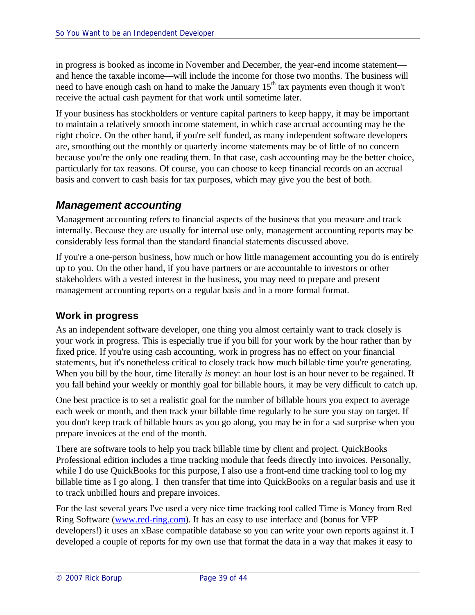in progress is booked as income in November and December, the year-end income statement and hence the taxable income—will include the income for those two months. The business will need to have enough cash on hand to make the January 15<sup>th</sup> tax payments even though it won't receive the actual cash payment for that work until sometime later.

If your business has stockholders or venture capital partners to keep happy, it may be important to maintain a relatively smooth income statement, in which case accrual accounting may be the right choice. On the other hand, if you're self funded, as many independent software developers are, smoothing out the monthly or quarterly income statements may be of little of no concern because you're the only one reading them. In that case, cash accounting may be the better choice, particularly for tax reasons. Of course, you can choose to keep financial records on an accrual basis and convert to cash basis for tax purposes, which may give you the best of both.

### *Management accounting*

Management accounting refers to financial aspects of the business that you measure and track internally. Because they are usually for internal use only, management accounting reports may be considerably less formal than the standard financial statements discussed above.

If you're a one-person business, how much or how little management accounting you do is entirely up to you. On the other hand, if you have partners or are accountable to investors or other stakeholders with a vested interest in the business, you may need to prepare and present management accounting reports on a regular basis and in a more formal format.

#### **Work in progress**

As an independent software developer, one thing you almost certainly want to track closely is your work in progress. This is especially true if you bill for your work by the hour rather than by fixed price. If you're using cash accounting, work in progress has no effect on your financial statements, but it's nonetheless critical to closely track how much billable time you're generating. When you bill by the hour, time literally *is* money: an hour lost is an hour never to be regained. If you fall behind your weekly or monthly goal for billable hours, it may be very difficult to catch up.

One best practice is to set a realistic goal for the number of billable hours you expect to average each week or month, and then track your billable time regularly to be sure you stay on target. If you don't keep track of billable hours as you go along, you may be in for a sad surprise when you prepare invoices at the end of the month.

There are software tools to help you track billable time by client and project. QuickBooks Professional edition includes a time tracking module that feeds directly into invoices. Personally, while I do use QuickBooks for this purpose, I also use a front-end time tracking tool to log my billable time as I go along. I then transfer that time into QuickBooks on a regular basis and use it to track unbilled hours and prepare invoices.

For the last several years I've used a very nice time tracking tool called Time is Money from Red Ring Software (www.red-ring.com). It has an easy to use interface and (bonus for VFP developers!) it uses an xBase compatible database so you can write your own reports against it. I developed a couple of reports for my own use that format the data in a way that makes it easy to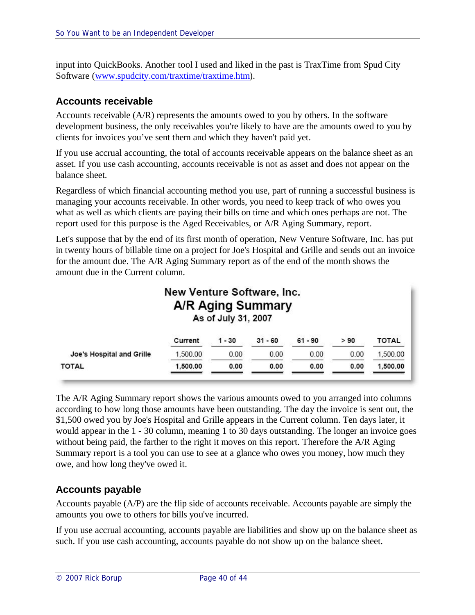input into QuickBooks. Another tool I used and liked in the past is TraxTime from Spud City Software (www.spudcity.com/traxtime/traxtime.htm).

#### **Accounts receivable**

Accounts receivable (A/R) represents the amounts owed to you by others. In the software development business, the only receivables you're likely to have are the amounts owed to you by clients for invoices you've sent them and which they haven't paid yet.

If you use accrual accounting, the total of accounts receivable appears on the balance sheet as an asset. If you use cash accounting, accounts receivable is not as asset and does not appear on the balance sheet.

Regardless of which financial accounting method you use, part of running a successful business is managing your accounts receivable. In other words, you need to keep track of who owes you what as well as which clients are paying their bills on time and which ones perhaps are not. The report used for this purpose is the Aged Receivables, or A/R Aging Summary, report.

Let's suppose that by the end of its first month of operation, New Venture Software, Inc. has put in twenty hours of billable time on a project for Joe's Hospital and Grille and sends out an invoice for the amount due. The A/R Aging Summary report as of the end of the month shows the amount due in the Current column.

| New Venture Software, Inc.<br>A/R Aging Summary<br>As of July 31, 2007 |          |          |           |           |      |          |  |
|------------------------------------------------------------------------|----------|----------|-----------|-----------|------|----------|--|
|                                                                        | Current  | $1 - 30$ | $31 - 60$ | $61 - 90$ | > 90 | TOTAL    |  |
| Joe's Hospital and Grille                                              | 1,500.00 | 0.00     | 0.00      | 0.00      | 0.00 | 1,500.00 |  |
| <b>TOTAL</b>                                                           | 1,500.00 | 0.00     | 0.00      | 0.00      | 0.00 | 1,500.00 |  |

The A/R Aging Summary report shows the various amounts owed to you arranged into columns according to how long those amounts have been outstanding. The day the invoice is sent out, the \$1,500 owed you by Joe's Hospital and Grille appears in the Current column. Ten days later, it would appear in the 1 - 30 column, meaning 1 to 30 days outstanding. The longer an invoice goes without being paid, the farther to the right it moves on this report. Therefore the A/R Aging Summary report is a tool you can use to see at a glance who owes you money, how much they owe, and how long they've owed it.

#### **Accounts payable**

Accounts payable (A/P) are the flip side of accounts receivable. Accounts payable are simply the amounts you owe to others for bills you've incurred.

If you use accrual accounting, accounts payable are liabilities and show up on the balance sheet as such. If you use cash accounting, accounts payable do not show up on the balance sheet.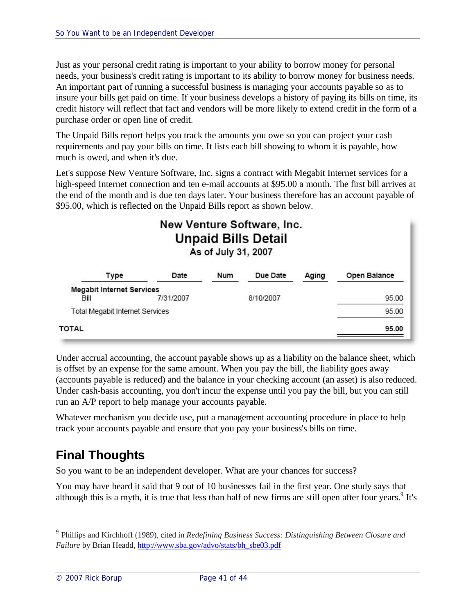Just as your personal credit rating is important to your ability to borrow money for personal needs, your business's credit rating is important to its ability to borrow money for business needs. An important part of running a successful business is managing your accounts payable so as to insure your bills get paid on time. If your business develops a history of paying its bills on time, its credit history will reflect that fact and vendors will be more likely to extend credit in the form of a purchase order or open line of credit.

The Unpaid Bills report helps you track the amounts you owe so you can project your cash requirements and pay your bills on time. It lists each bill showing to whom it is payable, how much is owed, and when it's due.

Let's suppose New Venture Software, Inc. signs a contract with Megabit Internet services for a high-speed Internet connection and ten e-mail accounts at \$95.00 a month. The first bill arrives at the end of the month and is due ten days later. Your business therefore has an account payable of \$95.00, which is reflected on the Unpaid Bills report as shown below.

# New Venture Software, Inc. **Unpaid Bills Detail** As of July 31, 2007

| Type                                     | Date      | Num | Due Date  | Aging | Open Balance |
|------------------------------------------|-----------|-----|-----------|-------|--------------|
| <b>Megabit Internet Services</b><br>Bill | 7/31/2007 |     | 8/10/2007 |       | 95.00        |
| <b>Total Megabit Internet Services</b>   |           |     |           |       | 95.00        |
| TOTAL                                    |           |     |           |       | 95.00        |

Under accrual accounting, the account payable shows up as a liability on the balance sheet, which is offset by an expense for the same amount. When you pay the bill, the liability goes away (accounts payable is reduced) and the balance in your checking account (an asset) is also reduced. Under cash-basis accounting, you don't incur the expense until you pay the bill, but you can still run an A/P report to help manage your accounts payable.

Whatever mechanism you decide use, put a management accounting procedure in place to help track your accounts payable and ensure that you pay your business's bills on time.

# **Final Thoughts**

So you want to be an independent developer. What are your chances for success?

You may have heard it said that 9 out of 10 businesses fail in the first year. One study says that although this is a myth, it is true that less than half of new firms are still open after four years.<sup>9</sup> It's

<sup>9</sup> Phillips and Kirchhoff (1989), cited in *Redefining Business Success: Distinguishing Between Closure and Failure* by Brian Headd, http://www.sba.gov/advo/stats/bh\_sbe03.pdf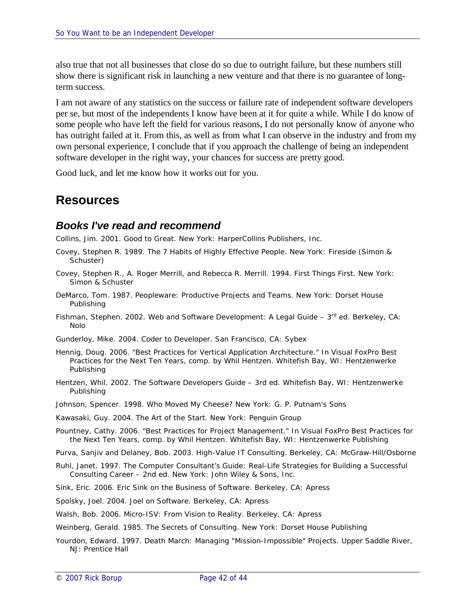also true that not all businesses that close do so due to outright failure, but these numbers still show there is significant risk in launching a new venture and that there is no guarantee of longterm success.

I am not aware of any statistics on the success or failure rate of independent software developers per se, but most of the independents I know have been at it for quite a while. While I do know of some people who have left the field for various reasons, I do not personally know of anyone who has outright failed at it. From this, as well as from what I can observe in the industry and from my own personal experience, I conclude that if you approach the challenge of being an independent software developer in the right way, your chances for success are pretty good.

Good luck, and let me know how it works out for you.

# **Resources**

#### *Books I've read and recommend*

Collins, Jim. 2001. *Good to Great.* New York: HarperCollins Publishers, Inc.

- Covey, Stephen R. 1989. *The 7 Habits of Highly Effective People*. New York: Fireside (Simon & Schuster)
- Covey, Stephen R., A. Roger Merrill, and Rebecca R. Merrill. 1994. *First Things First*. New York: Simon & Schuster
- DeMarco, Tom. 1987. *Peopleware: Productive Projects and Teams*. New York: Dorset House Publishing
- Fishman, Stephen. 2002. *Web and Software Development: A Legal Guide – 3 rd ed.* Berkeley, CA: Nolo
- Gunderloy, Mike. 2004. *Coder to Developer*. San Francisco, CA: Sybex
- Hennig, Doug. 2006. "Best Practices for Vertical Application Architecture." In *Visual FoxPro Best Practices for the Next Ten Years*, comp. by Whil Hentzen. Whitefish Bay, WI: Hentzenwerke Publishing
- Hentzen, Whil. 2002. *The Software Developers Guide – 3rd ed*. Whitefish Bay, WI: Hentzenwerke Publishing
- Johnson, Spencer. 1998. *Who Moved My Cheese?* New York: G. P. Putnam's Sons
- Kawasaki, Guy. 2004. *The Art of the Start*. New York: Penguin Group
- Pountney, Cathy. 2006. "Best Practices for Project Management." In *Visual FoxPro Best Practices for the Next Ten Years*, comp. by Whil Hentzen. Whitefish Bay, WI: Hentzenwerke Publishing
- Purva, Sanjiv and Delaney, Bob. 2003. *High-Value IT Consulting*. Berkeley, CA: McGraw-Hill/Osborne
- Ruhl, Janet. 1997. *The Computer Consultant's Guide: Real-Life Strategies for Building a Successful Consulting Career – 2nd ed*. New York: John Wiley & Sons, Inc.
- Sink, Eric. 2006. *Eric Sink on the Business of Software*. Berkeley, CA: Apress
- Spolsky, Joel. 2004. *Joel on Software*. Berkeley, CA: Apress
- Walsh, Bob. 2006. *Micro-ISV: From Vision to Reality*. Berkeley, CA: Apress
- Weinberg, Gerald. 1985. *The Secrets of Consulting*. New York: Dorset House Publishing
- Yourdon, Edward. 1997. *Death March: Managing "Mission-Impossible" Projects*. Upper Saddle River, NJ: Prentice Hall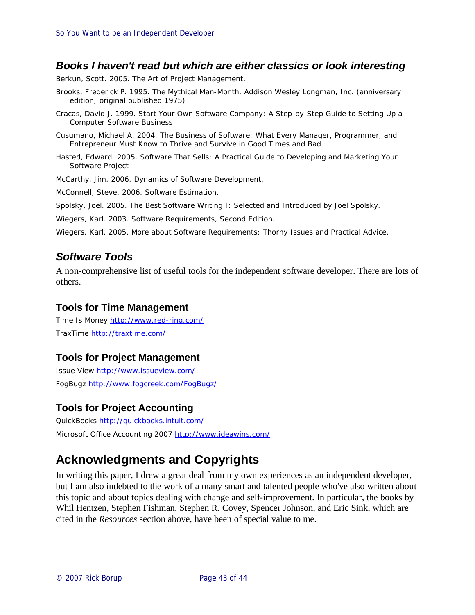#### *Books I haven't read but which are either classics or look interesting*

Berkun, Scott. 2005. *The Art of Project Management.*

- Brooks, Frederick P*.* 1995. *The Mythical Man-Month*. Addison Wesley Longman, Inc. (anniversary edition; original published 1975)
- Cracas, David J. 1999. *Start Your Own Software Company: A Step-by-Step Guide to Setting Up a Computer Software Business*
- Cusumano, Michael A. 2004. *The Business of Software: What Every Manager, Programmer, and Entrepreneur Must Know to Thrive and Survive in Good Times and Bad*
- Hasted, Edward. 2005. *Software That Sells: A Practical Guide to Developing and Marketing Your Software Project*

McCarthy, Jim. 2006. *Dynamics of Software Development.*

McConnell, Steve. 2006. *Software Estimation*.

Spolsky, Joel. 2005. *The Best Software Writing I: Selected and Introduced by Joel Spolsky.*

Wiegers, Karl. 2003. *Software Requirements, Second Edition.*

Wiegers, Karl. 2005. *More about Software Requirements: Thorny Issues and Practical Advice.*

#### *Software Tools*

A non-comprehensive list of useful tools for the independent software developer. There are lots of others.

#### **Tools for Time Management**

Time Is Money http://www.red-ring.com/ TraxTime http://traxtime.com/

#### **Tools for Project Management**

Issue View http://www.issueview.com/ FogBugz http://www.fogcreek.com/FogBugz/

#### **Tools for Project Accounting**

QuickBooks http://quickbooks.intuit.com/ Microsoft Office Accounting 2007 http://www.ideawins.com/

# **Acknowledgments and Copyrights**

In writing this paper, I drew a great deal from my own experiences as an independent developer, but I am also indebted to the work of a many smart and talented people who've also written about this topic and about topics dealing with change and self-improvement. In particular, the books by Whil Hentzen, Stephen Fishman, Stephen R. Covey, Spencer Johnson, and Eric Sink, which are cited in the *Resources* section above, have been of special value to me.